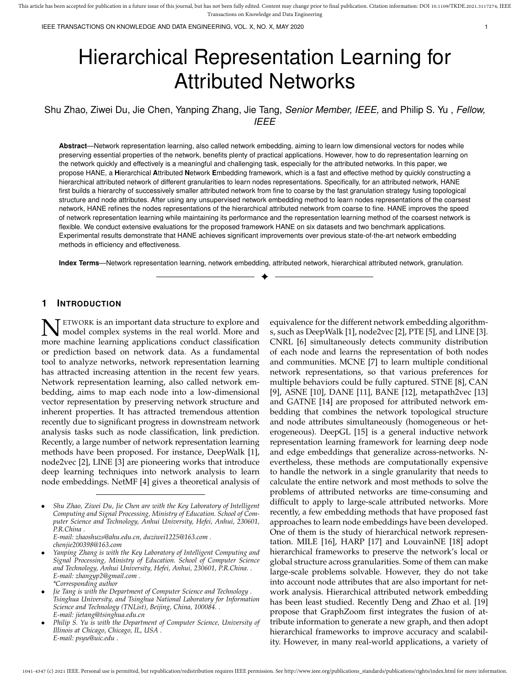IEEE TRANSACTIONS ON KNOWLEDGE AND DATA ENGINEERING, VOL. X, NO. X, MAY 2020 1

# Hierarchical Representation Learning for Attributed Networks

Shu Zhao, Ziwei Du, Jie Chen, Yanping Zhang, Jie Tang, *Senior Member, IEEE,* and Philip S. Yu , *Fellow, IEEE*

**Abstract**—Network representation learning, also called network embedding, aiming to learn low dimensional vectors for nodes while preserving essential properties of the network, benefits plenty of practical applications. However, how to do representation learning on the network quickly and effectively is a meaningful and challenging task, especially for the attributed networks. In this paper, we propose HANE, a **H**ierarchical **A**ttributed **N**etwork **E**mbedding framework, which is a fast and effective method by quickly constructing a hierarchical attributed network of different granularities to learn nodes representations. Specifically, for an attributed network, HANE first builds a hierarchy of successively smaller attributed network from fine to coarse by the fast granulation strategy fusing topological structure and node attributes. After using any unsupervised network embedding method to learn nodes representations of the coarsest network, HANE refines the nodes representations of the hierarchical attributed network from coarse to fine. HANE improves the speed of network representation learning while maintaining its performance and the representation learning method of the coarsest network is flexible. We conduct extensive evaluations for the proposed framework HANE on six datasets and two benchmark applications. Experimental results demonstrate that HANE achieves significant improvements over previous state-of-the-art network embedding methods in efficiency and effectiveness.

**Index Terms**—Network representation learning, network embedding, attributed network, hierarchical attributed network, granulation. ✦

## **1 INTRODUCTION**

**N** ETWORK is an important data structure to explore and more machine learning applications conduct classification **T** ETWORK is an important data structure to explore and model complex systems in the real world. More and or prediction based on network data. As a fundamental tool to analyze networks, network representation learning has attracted increasing attention in the recent few years. Network representation learning, also called network embedding, aims to map each node into a low-dimensional vector representation by preserving network structure and inherent properties. It has attracted tremendous attention recently due to significant progress in downstream network analysis tasks such as node classification, link prediction. Recently, a large number of network representation learning methods have been proposed. For instance, DeepWalk [1], node2vec [2], LINE [3] are pioneering works that introduce deep learning techniques into network analysis to learn node embeddings. NetMF [4] gives a theoretical analysis of

*E-mail: zhaoshuzs@ahu.edu.cn, duziwei1225@163.com . chenjie200398@163.com*

• *Yanping Zhang is with the Key Laboratory of Intelligent Computing and Signal Processing, Ministry of Education. School of Computer Science and Technology, Anhui University, Hefei, Anhui, 230601, P.R.China. . E-mail: zhangyp2@gmail.com . \*Corresponding author*

equivalence for the different network embedding algorithms, such as DeepWalk [1], node2vec [2], PTE [5], and LINE [3]. CNRL [6] simultaneously detects community distribution of each node and learns the representation of both nodes and communities. MCNE [7] to learn multiple conditional network representations, so that various preferences for multiple behaviors could be fully captured. STNE [8], CAN [9], ASNE [10], DANE [11], BANE [12], metapath2vec [13] and GATNE [14] are proposed for attributed network embedding that combines the network topological structure and node attributes simultaneously (homogeneous or heterogeneous). DeepGL [15] is a general inductive network representation learning framework for learning deep node and edge embeddings that generalize across-networks. Nevertheless, these methods are computationally expensive to handle the network in a single granularity that needs to calculate the entire network and most methods to solve the problems of attributed networks are time-consuming and difficult to apply to large-scale attributed networks. More recently, a few embedding methods that have proposed fast approaches to learn node embeddings have been developed. One of them is the study of hierarchical network representation. MILE [16], HARP [17] and LouvainNE [18] adopt hierarchical frameworks to preserve the network's local or global structure across granularities. Some of them can make large-scale problems solvable. However, they do not take into account node attributes that are also important for network analysis. Hierarchical attributed network embedding has been least studied. Recently Deng and Zhao et al. [19] propose that GraphZoom first integrates the fusion of attribute information to generate a new graph, and then adopt hierarchical frameworks to improve accuracy and scalability. However, in many real-world applications, a variety of

<sup>•</sup> *Shu Zhao, Ziwei Du, Jie Chen are with the Key Laboratory of Intelligent Computing and Signal Processing, Ministry of Education. School of Computer Science and Technology, Anhui University, Hefei, Anhui, 230601, P.R.China .*

<sup>•</sup> *Jie Tang is with the Department of Computer Science and Technology . Tsinghua University, and Tsinghua National Laboratory for Information Science and Technology (TNList), Beijing, China, 100084. . E-mail: jietang@tsinghua.edu.cn*

<sup>•</sup> *Philip S. Yu is with the Department of Computer Science, University of Illinois at Chicago, Chicago, IL, USA . E-mail: psyu@uic.edu .*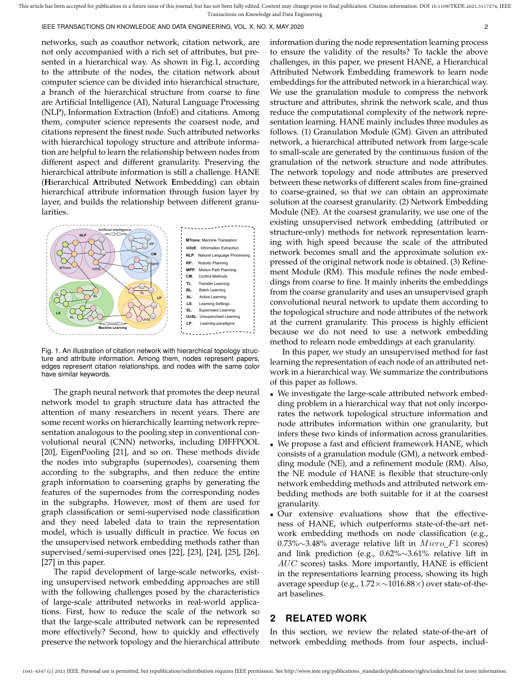IEEE TRANSACTIONS ON KNOWLEDGE AND DATA ENGINEERING, VOL. X, NO. X, MAY 2020 2

networks, such as coauthor network, citation network, are not only accompanied with a rich set of attributes, but presented in a hierarchical way. As shown in Fig.1, according to the attribute of the nodes, the citation network about computer science can be divided into hierarchical structure, a branch of the hierarchical structure from coarse to fine are Artificial Intelligence (AI), Natural Language Processing (NLP), Information Extraction (InfoE) and citations. Among them, computer science represents the coarsest node, and citations represent the finest node. Such attributed networks with hierarchical topology structure and attribute information are helpful to learn the relationship between nodes from different aspect and different granularity. Preserving the hierarchical attribute information is still a challenge. HANE (**H**ierarchical **A**ttributed **N**etwork **E**mbedding) can obtain hierarchical attribute information through fusion layer by layer, and builds the relationship between different granularities.



Fig. 1. An illustration of citation network with hierarchical topology structure and attribute information. Among them, nodes represent papers, edges represent citation relationships, and nodes with the same color have similar keywords.

The graph neural network that promotes the deep neural network model to graph structure data has attracted the attention of many researchers in recent years. There are some recent works on hierarchically learning network representation analogous to the pooling step in conventional convolutional neural (CNN) networks, including DIFFPOOL [20], EigenPooling [21], and so on. These methods divide the nodes into subgraphs (supernodes), coarsening them according to the subgraphs, and then reduce the entire graph information to coarsening graphs by generating the features of the supernodes from the corresponding nodes in the subgraphs. However, most of them are used for graph classification or semi-supervised node classification and they need labeled data to train the representation model, which is usually difficult in practice. We focus on the unsupervised network embedding methods rather than supervised/semi-supervised ones [22], [23], [24], [25], [26], [27] in this paper.

The rapid development of large-scale networks, existing unsupervised network embedding approaches are still with the following challenges posed by the characteristics of large-scale attributed networks in real-world applications. First, how to reduce the scale of the network so that the large-scale attributed network can be represented more effectively? Second, how to quickly and effectively preserve the network topology and the hierarchical attribute information during the node representation learning process to ensure the validity of the results? To tackle the above challenges, in this paper, we present HANE, a Hierarchical Attributed Network Embedding framework to learn node embeddings for the attributed network in a hierarchical way. We use the granulation module to compress the network structure and attributes, shrink the network scale, and thus reduce the computational complexity of the network representation learning. HANE mainly includes three modules as follows. (1) Granulation Module (GM). Given an attributed network, a hierarchical attributed network from large-scale to small-scale are generated by the continuous fusion of the granulation of the network structure and node attributes. The network topology and node attributes are preserved between these networks of different scales from fine-grained to coarse-grained, so that we can obtain an approximate solution at the coarsest granularity. (2) Network Embedding Module (NE). At the coarsest granularity, we use one of the existing unsupervised network embedding (attributed or structure-only) methods for network representation learning with high speed because the scale of the attributed network becomes small and the approximate solution expressed of the original network node is obtained. (3) Refinement Module (RM). This module refines the node embeddings from coarse to fine. It mainly inherits the embeddings from the coarse granularity and uses an unsupervised graph convolutional neural network to update them according to the topological structure and node attributes of the network at the current granularity. This process is highly efficient because we do not need to use a network embedding method to relearn node embeddings at each granularity.

In this paper, we study an unsupervised method for fast learning the representation of each node of an attributed network in a hierarchical way. We summarize the contributions of this paper as follows.

- We investigate the large-scale attributed network embedding problem in a hierarchical way that not only incorporates the network topological structure information and node attributes information within one granularity, but infers these two kinds of information across granularities.
- We propose a fast and efficient framework HANE, which consists of a granulation module (GM), a network embedding module (NE), and a refinement module (RM). Also, the NE module of HANE is flexible that structure-only network embedding methods and attributed network embedding methods are both suitable for it at the coarsest granularity.
- Our extensive evaluations show that the effectiveness of HANE, which outperforms state-of-the-art network embedding methods on node classification (e.g., 0.73%∼3.48% average relative lift in  $Micro\_F1$  scores) and link prediction (e.g., 0.62%∼3.61% relative lift in  $AUC$  scores) tasks. More importantly, HANE is efficient in the representations learning process, showing its high average speedup (e.g., 1.72×∼1016.88×) over state-of-theart baselines.

# **2 RELATED WORK**

In this section, we review the related state-of-the-art of network embedding methods from four aspects, includ-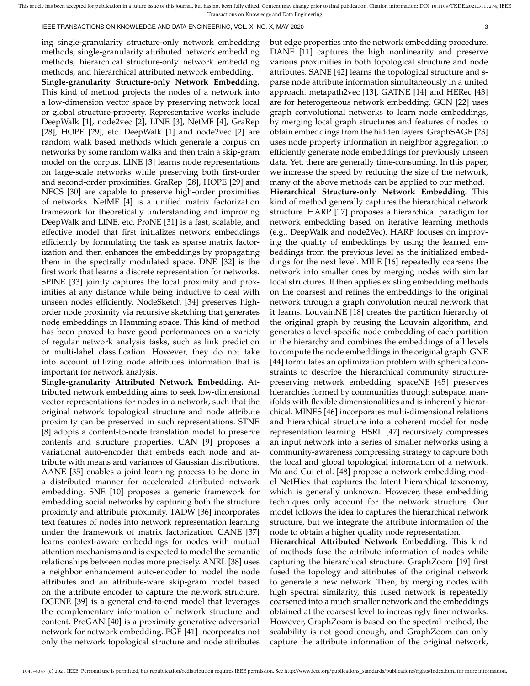IEEE TRANSACTIONS ON KNOWLEDGE AND DATA ENGINEERING, VOL. X, NO. X, MAY 2020 3

ing single-granularity structure-only network embedding methods, single-granularity attributed network embedding methods, hierarchical structure-only network embedding methods, and hierarchical attributed network embedding.

**Single-granularity Structure-only Network Embedding.** This kind of method projects the nodes of a network into a low-dimension vector space by preserving network local or global structure-property. Representative works include DeepWalk [1], node2vec [2], LINE [3], NetMF [4], GraRep [28], HOPE [29], etc. DeepWalk [1] and node2vec [2] are random walk based methods which generate a corpus on networks by some random walks and then train a skip-gram model on the corpus. LINE [3] learns node representations on large-scale networks while preserving both first-order and second-order proximities. GraRep [28], HOPE [29] and NECS [30] are capable to preserve high-order proximities of networks. NetMF [4] is a unified matrix factorization framework for theoretically understanding and improving DeepWalk and LINE, etc. ProNE [31] is a fast, scalable, and effective model that first initializes network embeddings efficiently by formulating the task as sparse matrix factorization and then enhances the embeddings by propagating them in the spectrally modulated space. DNE [32] is the first work that learns a discrete representation for networks. SPINE [33] jointly captures the local proximity and proximities at any distance while being inductive to deal with unseen nodes efficiently. NodeSketch [34] preserves highorder node proximity via recursive sketching that generates node embeddings in Hamming space. This kind of method has been proved to have good performances on a variety of regular network analysis tasks, such as link prediction or multi-label classification. However, they do not take into account utilizing node attributes information that is important for network analysis.

**Single-granularity Attributed Network Embedding.** Attributed network embedding aims to seek low-dimensional vector representations for nodes in a network, such that the original network topological structure and node attribute proximity can be preserved in such representations. STNE [8] adopts a content-to-node translation model to preserve contents and structure properties. CAN [9] proposes a variational auto-encoder that embeds each node and attribute with means and variances of Gaussian distributions. AANE [35] enables a joint learning process to be done in a distributed manner for accelerated attributed network embedding. SNE [10] proposes a generic framework for embedding social networks by capturing both the structure proximity and attribute proximity. TADW [36] incorporates text features of nodes into network representation learning under the framework of matrix factorization. CANE [37] learns context-aware embeddings for nodes with mutual attention mechanisms and is expected to model the semantic relationships between nodes more precisely. ANRL [38] uses a neighbor enhancement auto-encoder to model the node attributes and an attribute-ware skip-gram model based on the attribute encoder to capture the network structure. DGENE [39] is a general end-to-end model that leverages the complementary information of network structure and content. ProGAN [40] is a proximity generative adversarial network for network embedding. PGE [41] incorporates not only the network topological structure and node attributes

but edge properties into the network embedding procedure. DANE [11] captures the high nonlinearity and preserve various proximities in both topological structure and node attributes. SANE [42] learns the topological structure and sparse node attribute information simultaneously in a united approach. metapath2vec [13], GATNE [14] and HERec [43] are for heterogeneous network embedding. GCN [22] uses graph convolutional networks to learn node embeddings, by merging local graph structures and features of nodes to obtain embeddings from the hidden layers. GraphSAGE [23] uses node property information in neighbor aggregation to efficiently generate node embeddings for previously unseen data. Yet, there are generally time-consuming. In this paper, we increase the speed by reducing the size of the network, many of the above methods can be applied to our method. **Hierarchical Structure-only Network Embedding.** This kind of method generally captures the hierarchical network structure. HARP [17] proposes a hierarchical paradigm for network embedding based on iterative learning methods (e.g., DeepWalk and node2Vec). HARP focuses on improving the quality of embeddings by using the learned embeddings from the previous level as the initialized embeddings for the next level. MILE [16] repeatedly coarsens the network into smaller ones by merging nodes with similar local structures. It then applies existing embedding methods on the coarsest and refines the embeddings to the original network through a graph convolution neural network that it learns. LouvainNE [18] creates the partition hierarchy of the original graph by reusing the Louvain algorithm, and generates a level-specific node embedding of each partition in the hierarchy and combines the embeddings of all levels to compute the node embeddings in the original graph. GNE [44] formulates an optimization problem with spherical constraints to describe the hierarchical community structurepreserving network embedding. spaceNE [45] preserves hierarchies formed by communities through subspace, manifolds with flexible dimensionalities and is inherently hierarchical. MINES [46] incorporates multi-dimensional relations and hierarchical structure into a coherent model for node representation learning. HSRL [47] recursively compresses an input network into a series of smaller networks using a community-awareness compressing strategy to capture both the local and global topological information of a network. Ma and Cui et al. [48] propose a network embedding model NetHiex that captures the latent hierarchical taxonomy, which is generally unknown. However, these embedding techniques only account for the network structure. Our model follows the idea to captures the hierarchical network structure, but we integrate the attribute information of the node to obtain a higher quality node representation.

**Hierarchical Attributed Network Embedding.** This kind of methods fuse the attribute information of nodes while capturing the hierarchical structure. GraphZoom [19] first fused the topology and attributes of the original network to generate a new network. Then, by merging nodes with high spectral similarity, this fused network is repeatedly coarsened into a much smaller network and the embeddings obtained at the coarsest level to increasingly finer networks. However, GraphZoom is based on the spectral method, the scalability is not good enough, and GraphZoom can only capture the attribute information of the original network,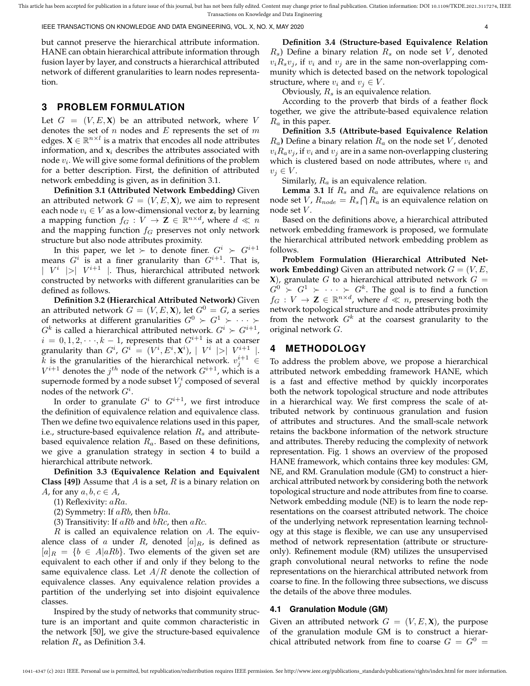IEEE TRANSACTIONS ON KNOWLEDGE AND DATA ENGINEERING, VOL. X, NO. X, MAY 2020 4

but cannot preserve the hierarchical attribute information. HANE can obtain hierarchical attribute information through fusion layer by layer, and constructs a hierarchical attributed network of different granularities to learn nodes representation.

## **3 PROBLEM FORMULATION**

Let  $G = (V, E, X)$  be an attributed network, where V denotes the set of  $n$  nodes and  $E$  represents the set of  $m$ edges.  $X \in \mathbb{R}^{n \times l}$  is a matrix that encodes all node attributes information, and  $x_i$  describes the attributes associated with node  $v_i$ . We will give some formal definitions of the problem for a better description. First, the definition of attributed network embedding is given, as in definition 3.1.

**Definition 3.1 (Attributed Network Embedding)** Given an attributed network  $G = (V, E, \mathbf{X})$ , we aim to represent each node  $v_i \in V$  as a low-dimensional vector  $z_i$  by learning a mapping function  $f_G: V \to \mathbf{Z} \in \mathbb{R}^{n \times d}$ , where  $d \ll n$ and the mapping function  $f<sub>G</sub>$  preserves not only network structure but also node attributes proximity.

In this paper, we let  $\succ$  to denote finer.  $G^i \succ G^{i+1}$ means  $G^i$  is at a finer granularity than  $G^{i+1}$ . That is,  $|V^i|>|V^{i+1}|$  . Thus, hierarchical attributed network constructed by networks with different granularities can be defined as follows.

**Definition 3.2 (Hierarchical Attributed Network)** Given an attributed network  $G = (V, E, \mathbf{X})$ , let  $G^0 = G$ , a series of networks at different granularities  $G^0 \succ G^1 \succ \cdots \succ$  $G^k$  is called a hierarchical attributed network.  $G^i \succ G^{i+1}$ ,  $i = 0, 1, 2, \dots, k - 1$ , represents that  $G^{i+1}$  is at a coarser granularity than  $G^i$ ,  $G^i = (V^i, E^i, \textbf{X}^i)$ ,  $\mid V^i \mid > \mid V^{i+1} \mid$ .  $\tilde{k}$  is the granularities of the hierarchical network.  $v_j^{i+1} \in$  $V^{i+1}$  denotes the  $j^{th}$  node of the network  $G^{i+1}$ , which is a supernode formed by a node subset  $V^i_j$  composed of several nodes of the network  $G^i$ .

In order to granulate  $G^i$  to  $G^{i+1}$ , we first introduce the definition of equivalence relation and equivalence class. Then we define two equivalence relations used in this paper, i.e., structure-based equivalence relation  $R_s$  and attributebased equivalence relation  $R_a$ . Based on these definitions, we give a granulation strategy in section 4 to build a hierarchical attribute network.

**Definition 3.3 (Equivalence Relation and Equivalent Class [49])** Assume that A is a set, R is a binary relation on A, for any  $a, b, c \in A$ ,

(1) Reflexivity:  $aRa$ .

- (2) Symmetry: If  $aRb$ , then  $bRa$ .
- (3) Transitivity: If  $aRb$  and  $bRc$ , then  $aRc$ .

 $R$  is called an equivalence relation on  $A$ . The equivalence class of a under R, denoted  $[a]_R$ , is defined as  $[a]_R = \{b \in A | aRb\}$ . Two elements of the given set are equivalent to each other if and only if they belong to the same equivalence class. Let  $A/R$  denote the collection of equivalence classes. Any equivalence relation provides a partition of the underlying set into disjoint equivalence classes.

Inspired by the study of networks that community structure is an important and quite common characteristic in the network [50], we give the structure-based equivalence relation  $R_s$  as Definition 3.4.

**Definition 3.4 (Structure-based Equivalence Relation**  $R<sub>s</sub>$ ) Define a binary relation  $R<sub>s</sub>$  on node set V, denoted  $v_i R_s v_j$ , if  $v_i$  and  $v_j$  are in the same non-overlapping community which is detected based on the network topological structure, where  $v_i$  and  $v_j \in V$ .

Obviously,  $R_s$  is an equivalence relation.

According to the proverb that birds of a feather flock together, we give the attribute-based equivalence relation  $R_a$  in this paper.

**Definition 3.5 (Attribute-based Equivalence Relation**  $R_a$ ) Define a binary relation  $R_a$  on the node set  $V$ , denoted  $v_i R_a v_j$ , if  $v_i$  and  $v_j$  are in a same non-overlapping clustering which is clustered based on node attributes, where  $v_i$  and  $v_j \in V$ .

Similarly,  $R_a$  is an equivalence relation.

**Lemma 3.1** If  $R_s$  and  $R_a$  are equivalence relations on node set  $V$ ,  $R_{node} = R_s \bigcap R_a$  is an equivalence relation on node set *V*.

Based on the definitions above, a hierarchical attributed network embedding framework is proposed, we formulate the hierarchical attributed network embedding problem as follows.

**Problem Formulation (Hierarchical Attributed Network Embedding)** Given an attributed network  $G = (V, E, \mathcal{E})$ **X**), granulate G to a hierarchical attributed network  $G =$  $G^0 \; \succ \; G^1 \; \succ \; \cdot \cdot \cdot \; \succ \; G^k.$  The goal is to find a function  $f_G: V \to \mathbf{Z} \in \mathbb{R}^{n \times d}$ , where  $d \ll n$ , preserving both the network topological structure and node attributes proximity from the network  $G<sup>k</sup>$  at the coarsest granularity to the original network G.

## **4 METHODOLOGY**

To address the problem above, we propose a hierarchical attributed network embedding framework HANE, which is a fast and effective method by quickly incorporates both the network topological structure and node attributes in a hierarchical way. We first compress the scale of attributed network by continuous granulation and fusion of attributes and structures. And the small-scale network retains the backbone information of the network structure and attributes. Thereby reducing the complexity of network representation. Fig. 1 shows an overview of the proposed HANE framework, which contains three key modules: GM, NE, and RM. Granulation module (GM) to construct a hierarchical attributed network by considering both the network topological structure and node attributes from fine to coarse. Network embedding module (NE) is to learn the node representations on the coarsest attributed network. The choice of the underlying network representation learning technology at this stage is flexible, we can use any unsupervised method of network representation (attribute or structureonly). Refinement module (RM) utilizes the unsupervised graph convolutional neural networks to refine the node representations on the hierarchical attributed network from coarse to fine. In the following three subsections, we discuss the details of the above three modules.

#### **4.1 Granulation Module (GM)**

Given an attributed network  $G = (V, E, \mathbf{X})$ , the purpose of the granulation module GM is to construct a hierarchical attributed network from fine to coarse  $G = G^0 =$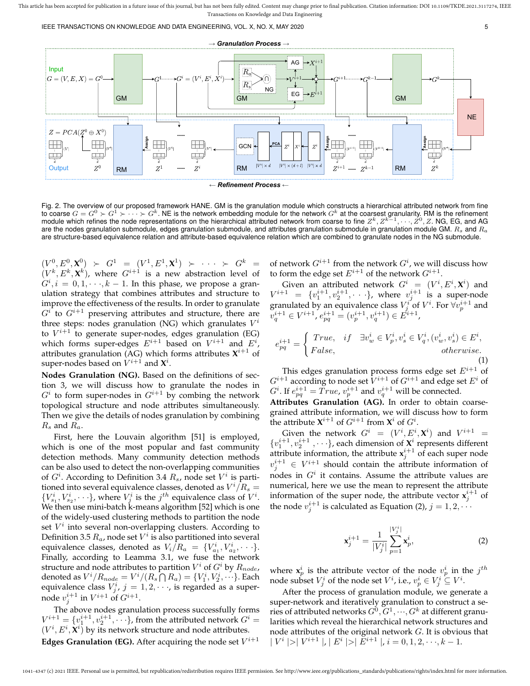





Fig. 2. The overview of our proposed framework HANE. GM is the granulation module which constructs a hierarchical attributed network from fine to coarse  $G = G^0 \succ G^1 \succ \cdots \succ G^k$ . NE is the network embedding module for the network  $G^k$  at the coarsest granularity. RM is the refinement module which refines the node representations on the hierarchical attributed network from coarse to fine  $Z^k, Z^{k-1}, \cdots, Z^0, Z$ . NG, EG, and AG are the nodes granulation submodule, edges granulation submodule, and attributes granulation submodule in granulation module GM.  $R_s$  and  $R_a$ are structure-based equivalence relation and attribute-based equivalence relation which are combined to granulate nodes in the NG submodule.

 $(V^0, E^0, \mathbf{X}^0) \succ G^1 = (V^1, E^1, \mathbf{X}^1) \succ \cdots \succ G^k =$  $(V^k, E^k, \mathbf{X}^k)$ , where  $G^{i+1}$  is a new abstraction level of  $G^i, i = 0, 1, \dots, k - 1$ . In this phase, we propose a granulation strategy that combines attributes and structure to improve the effectiveness of the results. In order to granulate  $G^{i}$  to  $G^{i+1}$  preserving attributes and structure, there are three steps: nodes granulation (NG) which granulates  $V^i$ to  $V^{i+1}$  to generate super-nodes, edges granulation (EG) which forms super-edges  $E^{i+1}$  based on  $V^{i+1}$  and  $E^i$ , attributes granulation (AG) which forms attributes  $X^{i+1}$  of super-nodes based on  $V^{i+1}$  and  $\mathbf{X}^{i}$ .

**Nodes Granulation (NG).** Based on the definitions of section 3, we will discuss how to granulate the nodes in  $G<sup>i</sup>$  to form super-nodes in  $G<sup>i+1</sup>$  by combing the network topological structure and node attributes simultaneously. Then we give the details of nodes granulation by combining  $R_s$  and  $R_a$ .

First, here the Louvain algorithm [51] is employed, which is one of the most popular and fast community detection methods. Many community detection methods can be also used to detect the non-overlapping communities of  $G^i$ . According to Definition 3.4  $R_s$ , node set  $V^i$  is partitioned into several equivalence classes, denoted as  $V^i/\overline{R_s} =$  ${V_{s_1}^i, V_{s_2}^i, \dots}$ , where  $V_j^i$  is the  $j^{th}$  equivalence class of  $V^i$ . We then use mini-batch k-means algorithm [52] which is one of the widely-used clustering methods to partition the node set  $V^i$  into several non-overlapping clusters. According to Definition 3.5  $R_a$ , node set  $V^i$  is also partitioned into several equivalence classes, denoted as  $V_i/R_a = \{V_{a_1}^i, V_{a_2}^i, \cdots\}$ . Finally, according to Leamma 3.1, we fuse the network structure and node attributes to partition  $V^i$  of  $G^i$  by  $R_{node}$ , denoted as  $V^i/R_{node}=V^i/(R_s\bigcap R_a)=\{V^i_1,V^i_2,\cdots\}$ . Each equivalence class  $V_j^i$ ,  $j = 1, 2, \cdots$ , is regarded as a supernode  $v_j^{i+1}$  in  $V^{i+1}$  of  $G^{i+1}$ .

The above nodes granulation process successfully forms  $V^{i+1} = \{v_1^{i+1}, v_2^{i+1}, \cdots\}$ , from the attributed network  $G^i$  =  $(V^{i}, E^{i}, \mathbf{X}^{i})$  by its network structure and node attributes. **Edges Granulation (EG).** After acquiring the node set  $V^{i+1}$ 

of network  $G^{i+1}$  from the network  $G^i$ , we will discuss how to form the edge set  $E^{i+1}$  of the network  $G^{i+1}$ .

Given an attributed network  $G^i = (V^i, E^i, \mathbf{X}^i)$  and  $V^{i+1} = \{v_1^{i+1}, v_2^{i+1}, \cdot \cdot \cdot\}$ , where  $v_j^{i+1}$  is a super-node granulated by an equivalence class  $V^i_j$  of  $V^i$ . For  $\forall v^{i+1}_p$  and  $v_q^{i+1} \in V^{i+1}$ ,  $e_{pq}^{i+1} = (v_p^{i+1}, v_q^{i+1}) \in \tilde{E}^{i+1}$ ,

$$
e_{pq}^{i+1} = \begin{cases} True, & if \quad \exists v_w^i \in V_p^i, v_s^i \in V_q^i, (v_w^i, v_s^i) \in E^i, \\ False, & otherwise. \end{cases}
$$
\n(1)

This edges granulation process forms edge set  $E^{i+1}$  of  $G^{i+1}$  according to node set  $\bar{V}^{i+1}$  of  $G^{i+1}$  and edge set  $E^i$  of  $G^i$ . If  $e^{i+1}_{pq} = True$ ,  $v^{i+1}_p$  and  $v^{i+1}_q$  will be connected.

**Attributes Granulation (AG).** In order to obtain coarsegrained attribute information, we will discuss how to form the attribute  $\mathbf{X}^{i+1}$  of  $G^{i+1}$  from  $\mathbf{X}^i$  of  $G^i$ .

Given the network  $G^i = (V^i, E^i, \mathbf{X}^i)$  and  $V^{i+1} =$  $\{v_1^{i+1}, v_2^{i+1}, \cdots\}$ , each dimension of  $\mathbf{X}^i$  represents different attribute information, the attribute  $x_j^{i+1}$  of each super node  $v_j^{i+1} \in V^{i+1}$  should contain the attribute information of nodes in  $G^i$  it contains. Assume the attribute values are numerical, here we use the mean to represent the attribute information of the super node, the attribute vector  $x_j^{i+1}$  of the node  $v_j^{i+1}$  is calculated as Equation (2),  $j = 1, 2, \cdots$ 

$$
\mathbf{x}_{j}^{i+1} = \frac{1}{|V_{j}^{i}|} \sum_{p=1}^{|V_{j}^{i}|} \mathbf{x}_{p}^{i},
$$
 (2)

where  $x_p^i$  is the attribute vector of the node  $v_p^i$  in the  $j^{th}$ node subset  $V^i_j$  of the node set  $V^i$ , i.e.,  $v^i_p \in V^i_j \subseteq V^i.$ 

After the process of granulation module, we generate a super-network and iteratively granulation to construct a series of attributed networks  $G^0, G^1, \cdots, G^k$  at different granularities which reveal the hierarchical network structures and node attributes of the original network G. It is obvious that  $|V^i|>|V^{i+1}|, |E^i|>|E^{i+1}|, i = 0, 1, 2, \cdots, k-1.$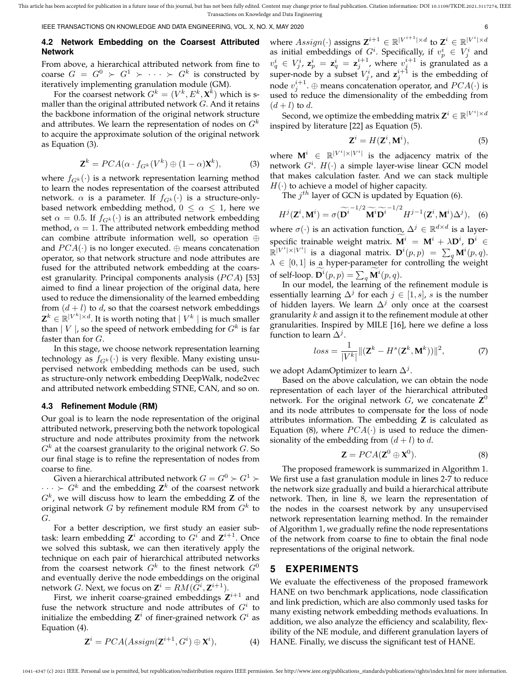IEEE TRANSACTIONS ON KNOWLEDGE AND DATA ENGINEERING, VOL. X, NO. X, MAY 2020 6

### **4.2 Network Embedding on the Coarsest Attributed Network**

From above, a hierarchical attributed network from fine to coarse  $G = G^0 \succ G^1 \succ \cdots \succ G^k$  is constructed by iteratively implementing granulation module (GM).

For the coarsest network  $G^k = (V^k, E^k, \mathbf{X}^k)$  which is smaller than the original attributed network  $G$ . And it retains the backbone information of the original network structure and attributes. We learn the representation of nodes on  $G<sup>k</sup>$ to acquire the approximate solution of the original network as Equation (3).

$$
\mathbf{Z}^{k} = PCA(\alpha \cdot f_{G^{k}}(V^{k}) \oplus (1-\alpha)\mathbf{X}^{k}), \tag{3}
$$

where  $f_{G^k}(\cdot)$  is a network representation learning method to learn the nodes representation of the coarsest attributed network.  $\alpha$  is a parameter. If  $f_{G^k}(\cdot)$  is a structure-onlybased network embedding method,  $0 \leq \alpha \leq 1$ , here we set  $\alpha = 0.5$ . If  $f_{G^k}(\cdot)$  is an attributed network embedding method,  $\alpha = 1$ . The attributed network embedding method can combine attribute information well, so operation ⊕ and  $PCA(\cdot)$  is no longer executed.  $\oplus$  means concatenation operator, so that network structure and node attributes are fused for the attributed network embedding at the coarsest granularity. Principal components analysis  $(PCA)$  [53] aimed to find a linear projection of the original data, here used to reduce the dimensionality of the learned embedding from  $(d + l)$  to d, so that the coarsest network embeddings  $\mathbf{Z}^k \in \mathbb{R}^{|V^k| \times d}$ . It is worth noting that  $|V^k|$  is much smaller than  $|V|$ , so the speed of network embedding for  $G^k$  is far faster than for G.

In this stage, we choose network representation learning technology as  $f_{G^k}(\cdot)$  is very flexible. Many existing unsupervised network embedding methods can be used, such as structure-only network embedding DeepWalk, node2vec and attributed network embedding STNE, CAN, and so on.

#### **4.3 Refinement Module (RM)**

Our goal is to learn the node representation of the original attributed network, preserving both the network topological structure and node attributes proximity from the network  $G^k$  at the coarsest granularity to the original network  $G$ . So our final stage is to refine the representation of nodes from coarse to fine.

Given a hierarchical attributed network  $G=G^0 \succ G^1 \succ$  $\cdots > G^k$  and the embedding  $\mathbf{Z}^k$  of the coarsest network  $G<sup>k</sup>$ , we will discuss how to learn the embedding **Z** of the original network G by refinement module RM from  $G^k$  to G.

For a better description, we first study an easier subtask: learn embedding  $\mathbf{Z}^i$  according to  $G^i$  and  $\mathbf{Z}^{i+1}$ . Once we solved this subtask, we can then iteratively apply the technique on each pair of hierarchical attributed networks from the coarsest network  $G^k$  to the finest network  $G^0$ and eventually derive the node embeddings on the original network *G*. Next, we focus on  $\mathbf{Z}^i = RM(\tilde{G}^i, \mathbf{Z}^{i+1}).$ 

First, we inherit coarse-grained embeddings  $Z^{i+1}$  and fuse the network structure and node attributes of  $G^i$  to initialize the embedding  $\mathbf{Z}^i$  of finer-grained network  $G^i$  as Equation (4).

$$
\mathbf{Z}^{i} = PCA(Assign(\mathbf{Z}^{i+1}, G^{i}) \oplus \mathbf{X}^{i}), \tag{4}
$$

where  $Assign(\cdot)$  assigns  $\mathbf{Z}^{i+1} \in \mathbb{R}^{|V^{i+1}| \times d}$  to  $\mathbf{Z}^i \in \mathbb{R}^{|V^i| \times d}$ as initial embeddings of  $G^i$ . Specifically, if  $v_p^i \in V_j^i$  and  $v_q^i \, \in \, V_j^i$ ,  $\mathbf{z}_p^i \, = \, \mathbf{z}_q^i \, = \, \mathbf{z}_j^{i+1}$ , where  $v_j^{i+1}$  is granulated as a super-node by a subset  $V_j^i$ , and  $\mathbf{z}_j^{i+1}$  is the embedding of node  $v_j^{i+1}$ .  $\oplus$  means concatenation operator, and  $PCA(\cdot)$  is used to reduce the dimensionality of the embedding from  $(d+l)$  to d.

Second, we optimize the embedding matrix  $\mathbf{Z}^i \in \mathbb{R}^{|V^i| \times d}$ inspired by literature [22] as Equation (5).

$$
\mathbf{Z}^i = H(\mathbf{Z}^i, \mathbf{M}^i),\tag{5}
$$

where  $\mathbf{M}^i$   $\in$   $\mathbb{R}^{|V^i| \times |V^i|}$  is the adjacency matrix of the network  $G^i$ .  $H(\cdot)$  a simple layer-wise linear GCN model that makes calculation faster. And we can stack multiple  $H(\cdot)$  to achieve a model of higher capacity.

The  $j^{th}$  layer of GCN is updated by Equation (6).

$$
H^{j}(\mathbf{Z}^{i}, \mathbf{M}^{i}) = \sigma(\widetilde{\mathbf{D}^{i}}^{-1/2} \widetilde{\mathbf{M}^{i}} \widetilde{\mathbf{D}^{i}}^{-1/2} H^{j-1}(\mathbf{Z}^{i}, \mathbf{M}^{i}) \Delta^{j}), \quad (6)
$$

where  $\sigma(\cdot)$  is an activation function,  $\Delta^j \in \mathbb{R}^{d \times d}$  is a layer- ${\bf s}$  pecific trainable weight matrix.  ${\bf M}^i\ =\ {\bf M}^i\,+\,\lambda {\bf D}^i,\ {\bf D}^i\ \in$  $\mathbb{R}^{|V^i| \times |V^i|}$  is a diagonal matrix.  $\mathbf{D}^i(p,p) = \sum_q \mathbf{M}^i(p,q)$ .  $\lambda \in [0,1]$  is a hyper-parameter for controlling the weight of self-loop.  $\mathbf{D}^i(p,p) = \sum_q \mathbf{M}^i(p,q)$ .

In our model, the learning of the refinement module is essentially learning  $\Delta^j$  for each  $j \in [1, s]$ , s is the number of hidden layers. We learn  $\Delta^j$  only once at the coarsest granularity  $k$  and assign it to the refinement module at other granularities. Inspired by MILE [16], here we define a loss function to learn  $\Delta^j$ .

$$
loss = \frac{1}{|V^k|} ||(\mathbf{Z}^k - H^s(\mathbf{Z}^k, \mathbf{M}^k))||^2, \tag{7}
$$

we adopt AdamOptimizer to learn  $\Delta^j.$ 

Based on the above calculation, we can obtain the node representation of each layer of the hierarchical attributed network. For the original network  $G$ , we concatenate  $\mathbf{Z}^0$ and its node attributes to compensate for the loss of node attributes information. The embedding **Z** is calculated as Equation (8), where  $PCA(\cdot)$  is used to reduce the dimensionality of the embedding from  $(d+l)$  to d.

$$
\mathbf{Z} = PCA(\mathbf{Z}^0 \oplus \mathbf{X}^0). \tag{8}
$$

The proposed framework is summarized in Algorithm 1. We first use a fast granulation module in lines 2-7 to reduce the network size gradually and build a hierarchical attribute network. Then, in line 8, we learn the representation of the nodes in the coarsest network by any unsupervised network representation learning method. In the remainder of Algorithm 1, we gradually refine the node representations of the network from coarse to fine to obtain the final node representations of the original network.

#### **5 EXPERIMENTS**

We evaluate the effectiveness of the proposed framework HANE on two benchmark applications, node classification and link prediction, which are also commonly used tasks for many existing network embedding methods evaluations. In addition, we also analyze the efficiency and scalability, flexibility of the NE module, and different granulation layers of HANE. Finally, we discuss the significant test of HANE.

1041-4347 (c) 2021 IEEE. Personal use is permitted, but republication/redistribution requires IEEE permission. See http://www.ieee.org/publications\_standards/publications/rights/index.html for more information.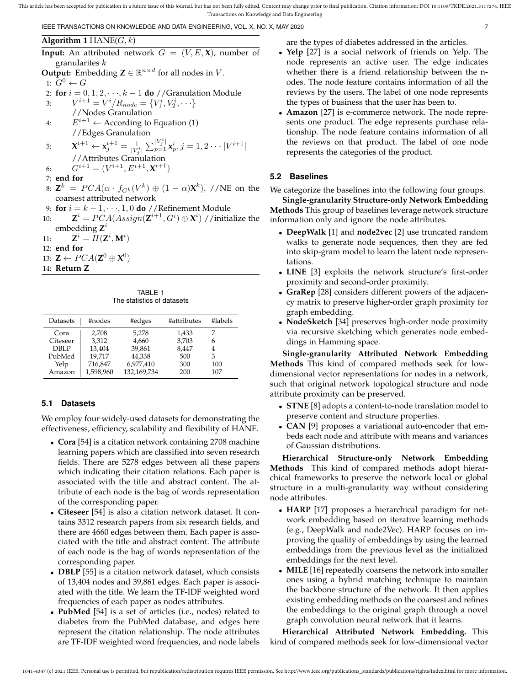IEEE TRANSACTIONS ON KNOWLEDGE AND DATA ENGINEERING, VOL. X, NO. X, MAY 2020 7

**Algorithm 1** HANE $(G, k)$ **Input:** An attributed network  $G = (V, E, \mathbf{X})$ , number of granularites  $k$ **Output:** Embedding  $\mathbf{Z} \in \mathbb{R}^{n \times d}$  for all nodes in V. 1:  $G^0 \leftarrow G$ 2: **for**  $i = 0, 1, 2, \dots, k - 1$  **do** //Granulation Module 3:  $V^{i+1} = V^i / R_{node} = \{V_1^i, V_2^i, \cdots\}$ //Nodes Granulation 4:  $E^{i+1} \leftarrow$  According to Equation (1) //Edges Granulation  $\mathbf{x}^{i+1} \leftarrow \mathbf{x}_{j}^{i+1} = \frac{1}{|V_{j}^{i}|} \sum_{p=1}^{|V_{j}^{i}|} \mathbf{x}_{p}^{i}, j=1,2 \cdots |V^{i+1}|$ //Attributes Granulation 6:  $G^{i+1} = (V^{i+1}, E^{i+1}, \mathbf{X}^{i+1})$ 7: **end for** 8:  $\mathbf{Z}^k \ = \ PCA(\alpha \cdot f_{G^k}(V^k) \oplus (1-\alpha)\mathbf{X}^k), \ // \text{NE on the}$ coarsest attributed network 9: **for**  $i = k - 1, \dots, 1, 0$  **do** //Refinement Module 10:  $\mathbf{Z}^i = PCA(Assign(\mathbf{Z}^{i+1}, G^i) \oplus \mathbf{X}^i)$  //initialize the embedding **Z** i 11:  $\mathbf{Z}^i = \tilde{H}(\mathbf{Z}^i, \mathbf{M}^i)$ 12: **end for** 13:  $\mathbf{Z} \leftarrow PCA(\mathbf{Z}^0 \oplus \mathbf{X}^0)$ 14: **Return Z**

TABLE 1 The statistics of datasets

| Datasets | #nodes    | #edges      | #attributes | #labels |
|----------|-----------|-------------|-------------|---------|
| Cora     | 2.708     | 5.278       | 1,433       |         |
| Citeseer | 3,312     | 4,660       | 3,703       | 6       |
| DBI P    | 13,404    | 39,861      | 8,447       | 4       |
| PubMed   | 19.717    | 44,338      | 500         | 3       |
| Yelp     | 716,847   | 6,977,410   | 300         | 100     |
| Amazon   | 1,598,960 | 132,169,734 | 200         | 107     |

## **5.1 Datasets**

We employ four widely-used datasets for demonstrating the effectiveness, efficiency, scalability and flexibility of HANE.

- **Cora** [54] is a citation network containing 2708 machine learning papers which are classified into seven research fields. There are 5278 edges between all these papers which indicating their citation relations. Each paper is associated with the title and abstract content. The attribute of each node is the bag of words representation of the corresponding paper.
- **Citeseer** [54] is also a citation network dataset. It contains 3312 research papers from six research fields, and there are 4660 edges between them. Each paper is associated with the title and abstract content. The attribute of each node is the bag of words representation of the corresponding paper.
- **DBLP** [55] is a citation network dataset, which consists of 13,404 nodes and 39,861 edges. Each paper is associated with the title. We learn the TF-IDF weighted word frequencies of each paper as nodes attributes.
- **PubMed** [54] is a set of articles (i.e., nodes) related to diabetes from the PubMed database, and edges here represent the citation relationship. The node attributes are TF-IDF weighted word frequencies, and node labels

are the types of diabetes addressed in the articles.

- **Yelp** [27] is a social network of friends on Yelp. The node represents an active user. The edge indicates whether there is a friend relationship between the nodes. The node feature contains information of all the reviews by the users. The label of one node represents the types of business that the user has been to.
- **Amazon** [27] is e-commerce network. The node represents one product. The edge represents purchase relationship. The node feature contains information of all the reviews on that product. The label of one node represents the categories of the product.

## **5.2 Baselines**

We categorize the baselines into the following four groups.

**Single-granularity Structure-only Network Embedding Methods** This group of baselines leverage network structure information only and ignore the node attributes.

- **DeepWalk** [1] and **node2vec** [2] use truncated random walks to generate node sequences, then they are fed into skip-gram model to learn the latent node representations.
- **LINE** [3] exploits the network structure's first-order proximity and second-order proximity.
- **GraRep** [28] considers different powers of the adjacency matrix to preserve higher-order graph proximity for graph embedding.
- **NodeSketch** [34] preserves high-order node proximity via recursive sketching which generates node embeddings in Hamming space.

**Single-granularity Attributed Network Embedding Methods** This kind of compared methods seek for lowdimensional vector representations for nodes in a network, such that original network topological structure and node attribute proximity can be preserved.

- **STNE** [8] adopts a content-to-node translation model to preserve content and structure properties.
- **CAN** [9] proposes a variational auto-encoder that embeds each node and attribute with means and variances of Gaussian distributions.

**Hierarchical Structure-only Network Embedding Methods** This kind of compared methods adopt hierarchical frameworks to preserve the network local or global structure in a multi-granularity way without considering node attributes.

- **HARP** [17] proposes a hierarchical paradigm for network embedding based on iterative learning methods (e.g., DeepWalk and node2Vec). HARP focuses on improving the quality of embeddings by using the learned embeddings from the previous level as the initialized embeddings for the next level.
- **MILE** [16] repeatedly coarsens the network into smaller ones using a hybrid matching technique to maintain the backbone structure of the network. It then applies existing embedding methods on the coarsest and refines the embeddings to the original graph through a novel graph convolution neural network that it learns.

**Hierarchical Attributed Network Embedding.** This kind of compared methods seek for low-dimensional vector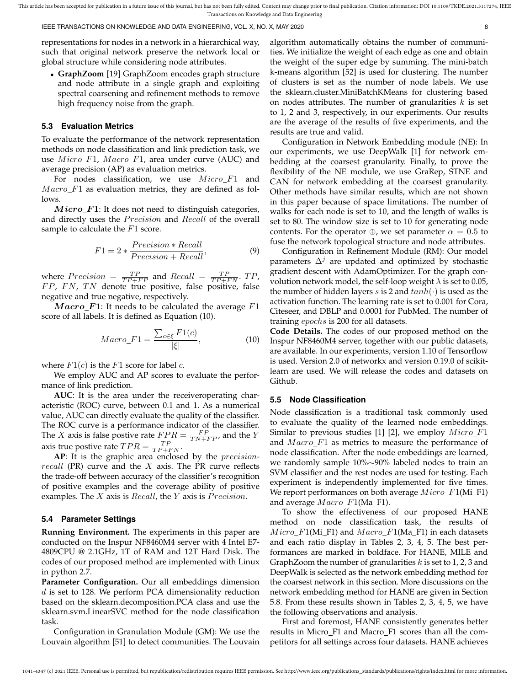IEEE TRANSACTIONS ON KNOWLEDGE AND DATA ENGINEERING, VOL. X, NO. X, MAY 2020 8

representations for nodes in a network in a hierarchical way, such that original network preserve the network local or global structure while considering node attributes.

• **GraphZoom** [19] GraphZoom encodes graph structure and node attribute in a single graph and exploiting spectral coarsening and refinement methods to remove high frequency noise from the graph.

#### **5.3 Evaluation Metrics**

To evaluate the performance of the network representation methods on node classification and link prediction task, we use  $Micro\_F1$ ,  $Macro\_F1$ , area under curve (AUC) and average precision (AP) as evaluation metrics.

For nodes classification, we use  $Micro\_F1$  and  $Macro$ <sub>-F1</sub> as evaluation metrics, they are defined as follows.

 $Micro\_F1$ : It does not need to distinguish categories, and directly uses the *Precision* and *Recall* of the overall sample to calculate the  $F1$  score.

$$
F1 = 2 * \frac{Precision * Recall}{Precision + Recall},
$$
\n(9)

where  $Precision = \frac{TP}{TP + FP}$  and  $Recall = \frac{TP}{TP + FN}$ .  $TP$ ,  $FP$ ,  $FN$ ,  $TN$  denote true positive, false positive, false negative and true negative, respectively.

 $Maccro$ <sub>-F1</sub>: It needs to be calculated the average F1 score of all labels. It is defined as Equation (10).

$$
Macco\_F1 = \frac{\sum_{c \in \xi} F1(c)}{|\xi|},\tag{10}
$$

where  $F1(c)$  is the  $F1$  score for label  $c$ .

We employ AUC and AP scores to evaluate the performance of link prediction.

**AUC**: It is the area under the receiveroperating characteristic (ROC) curve, between 0.1 and 1. As a numerical value, AUC can directly evaluate the quality of the classifier. The ROC curve is a performance indicator of the classifier. The X axis is false postive rate  $FPR = \frac{FP}{TN + FP}$ , and the Y axis true postive rate  $TPR = \frac{TP}{TP+FN}$ .

AP: It is the graphic area enclosed by the *precision* $recall$  (PR) curve and the  $X$  axis. The PR curve reflects the trade-off between accuracy of the classifier's recognition of positive examples and the coverage ability of positive examples. The  $X$  axis is  $Recall$ , the  $Y$  axis is  $Precision$ .

#### **5.4 Parameter Settings**

**Running Environment.** The experiments in this paper are conducted on the Inspur NF8460M4 server with 4 Intel E7- 4809CPU @ 2.1GHz, 1T of RAM and 12T Hard Disk. The codes of our proposed method are implemented with Linux in python 2.7.

**Parameter Configuration.** Our all embeddings dimension  $d$  is set to 128. We perform PCA dimensionality reduction based on the sklearn.decomposition.PCA class and use the sklearn.svm.LinearSVC method for the node classification task.

Configuration in Granulation Module (GM): We use the Louvain algorithm [51] to detect communities. The Louvain algorithm automatically obtains the number of communities. We initialize the weight of each edge as one and obtain the weight of the super edge by summing. The mini-batch k-means algorithm [52] is used for clustering. The number of clusters is set as the number of node labels. We use the sklearn.cluster.MiniBatchKMeans for clustering based on nodes attributes. The number of granularities  $k$  is set to 1, 2 and 3, respectively, in our experiments. Our results are the average of the results of five experiments, and the results are true and valid.

Configuration in Network Embedding module (NE): In our experiments, we use DeepWalk [1] for network embedding at the coarsest granularity. Finally, to prove the flexibility of the NE module, we use GraRep, STNE and CAN for network embedding at the coarsest granularity. Other methods have similar results, which are not shown in this paper because of space limitations. The number of walks for each node is set to 10, and the length of walks is set to 80. The window size is set to 10 for generating node contents. For the operator  $\oplus$ , we set parameter  $\alpha = 0.5$  to fuse the network topological structure and node attributes.

Configuration in Refinement Module (RM): Our model parameters  $\Delta^{j}$  are updated and optimized by stochastic gradient descent with AdamOptimizer. For the graph convolution network model, the self-loop weight  $\lambda$  is set to 0.05, the number of hidden layers s is 2 and  $tanh(\cdot)$  is used as the activation function. The learning rate is set to 0.001 for Cora, Citeseer, and DBLP and 0.0001 for PubMed. The number of training epochs is 200 for all datasets.

**Code Details.** The codes of our proposed method on the Inspur NF8460M4 server, together with our public datasets, are available. In our experiments, version 1.10 of Tensorflow is used. Version 2.0 of networkx and version 0.19.0 of scikitlearn are used. We will release the codes and datasets on Github.

#### **5.5 Node Classification**

Node classification is a traditional task commonly used to evaluate the quality of the learned node embeddings. Similar to previous studies [1] [2], we employ  $Micro\_F1$ and  $Macro$ <sub>-F1</sub> as metrics to measure the performance of node classification. After the node embeddings are learned, we randomly sample 10%∼90% labeled nodes to train an SVM classifier and the rest nodes are used for testing. Each experiment is independently implemented for five times. We report performances on both average  $Micro\_F1(Mi_F1)$ and average  $Macco_F1(Ma_F1)$ .

To show the effectiveness of our proposed HANE method on node classification task, the results of  $Micro\_F1(Mi_F1)$  and  $Macro\_F1(Ma_F1)$  in each datasets and each ratio display in Tables 2, 3, 4, 5. The best performances are marked in boldface. For HANE, MILE and GraphZoom the number of granularities  $k$  is set to 1, 2, 3 and DeepWalk is selected as the network embedding method for the coarsest network in this section. More discussions on the network embedding method for HANE are given in Section 5.8. From these results shown in Tables 2, 3, 4, 5, we have the following observations and analysis.

First and foremost, HANE consistently generates better results in Micro\_F1 and Macro\_F1 scores than all the competitors for all settings across four datasets. HANE achieves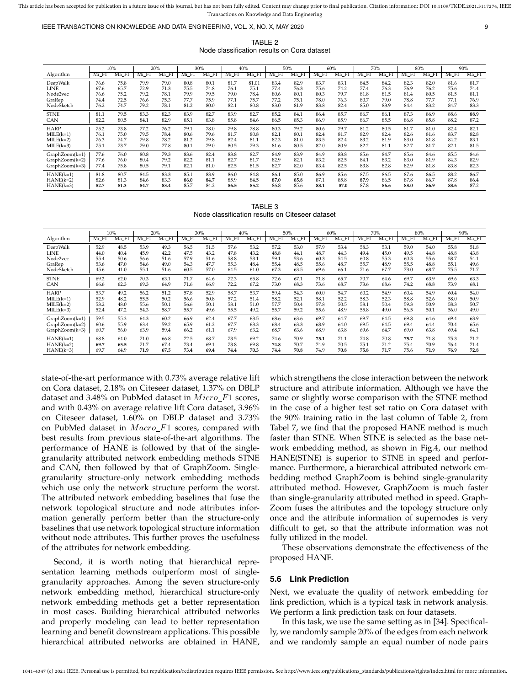IEEE TRANSACTIONS ON KNOWLEDGE AND DATA ENGINEERING, VOL. X, NO. X, MAY 2020 9

TABLE 2 Node classification results on Cora dataset

|                |       | 10%   |       | 20%   |       | 30%   |       | 40%   |       | 50%   |       | 60%   |       | 70%   |       | 80%   |       | 90%   |
|----------------|-------|-------|-------|-------|-------|-------|-------|-------|-------|-------|-------|-------|-------|-------|-------|-------|-------|-------|
| Algorithm      | Mi F1 | Ma F1 | Mi_F1 | Ma_F1 | Mi_F1 | Ma_F1 | Mi_F1 | Ma_F1 | Mi_F1 | Ma F1 | Mi_F1 | Ma_F1 | Mi_F1 | Ma_F1 | Mi_F1 | Ma F1 | Mi_F1 | Ma F1 |
| DeepWalk       | 76.6  | 75.8  | 79.9  | 79.0  | 80.8  | 80.1  | 81.7  | 81.01 | 83.4  | 82.9  | 83.7  | 83.1  | 84.5  | 84.2  | 82.3  | 82.0  | 81.6  | 81.7  |
| LINE           | 67.6  | 65.7  | 72.9  | 71.3  | 75.5  | 74.8  | 76.1  | 75.1  | 77.4  | 76.3  | 75.6  | 74.2  | 77.4  | 76.3  | 76.9  | 76.2  | 75.6  | 74.4  |
| Node2vec       | 76.6  | 75.2  | 79.2  | 78.1  | 79.9  | 79.5  | 79.0  | 78.4  | 80.6  | 80.1  | 80.3  | 79.7  | 81.8  | 81.5  | 81.4  | 80.5  | 81.5  | 81.1  |
| GraRep         | 74.4  | 72.5  | 76.6  | 75.3  | 77.7  | 75.9  | 77.1  | 75.7  | 77.2  | 75.1  | 78.0  | 76.3  | 80.7  | 79.0  | 78.8  | 77.7  | 77.1  | 76.9  |
| NodeSketch     | 76.2  | 74.7  | 79.2  | 78.1  | 81.2  | 80.0  | 82.1  | 80.8  | 83.0  | 81.9  | 83.8  | 82.4  | 85.0  | 83.9  | 84.4  | 83.2  | 84.7  | 83.3  |
| <b>STNE</b>    | 81.1  | 79.5  | 83.3  | 82.3  | 83.9  | 82.7  | 83.9  | 82.7  | 85.2  | 84.1  | 86.4  | 85.7  | 86.7  | 86.1  | 87.3  | 86.9  | 88.6  | 88.9  |
| CAN            | 82.2  | 80.5  | 84.1  | 82.9  | 85.1  | 83.8  | 85.8  | 84.6  | 86.5  | 85.3  | 86.9  | 85.9  | 86.7  | 85.5  | 86.8  | 85.8  | 88.2  | 87.2  |
| <b>HARP</b>    | 75.2  | 73.8  | 77.2  | 76.2  | 79.1  | 78.0  | 79.8  | 78.8  | 80.3  | 79.2  | 80.6  | 79.7  | 81.2  | 80.5  | 81.7  | 81.0  | 82.4  | 82.1  |
| $MILE(k=1)$    | 76.1  | 75.0  | 79.5  | 78.4  | 80.6  | 79.6  | 81.7  | 80.8  | 82.1  | 80.1  | 82.4  | 81.7  | 82.9  | 82.4  | 82.6  | 81.6  | 83.7  | 82.8  |
| $MILE(k=2)$    | 76.3  | 74.7  | 79.8  | 78.2  | 81.2  | 79.8  | 82.4  | 81.1  | 82.3  | 81.0  | 83.5  | 82.4  | 83.2  | 81.9  | 83.0  | 81.8  | 84.2  | 83.1  |
| $MILE(k=3)$    | 75.1  | 73.7  | 79.0  | 77.8  | 80.1  | 79.0  | 80.5  | 79.3  | 81.6  | 80.5  | 82.0  | 80.9  | 82.2  | 81.1  | 82.7  | 81.7  | 82.1  | 81.5  |
| GraphZoom(k=1) | 77.6  | 76.0  | 80.8  | 79.3  | 83.6  | 82.4  | 83.8  | 82.7  | 84.9  | 83.9  | 84.9  | 83.8  | 85.6  | 84.7  | 85.6  | 84.6  | 85.5  | 84.6  |
| GraphZoom(k=2) | 77.6  | 76.0  | 80.4  | 79.2  | 82.2  | 81.1  | 82.7  | 81.7  | 82.9  | 82.1  | 83.2  | 82.5  | 84.1  | 83.2  | 83.0  | 81.9  | 84.3  | 82.9  |
| GraphZoom(k=3) | 77.4  | 75.8  | 80.5  | 79.1  | 82.1  | 81.0  | 82.5  | 81.5  | 82.7  | 82.0  | 83.4  | 82.5  | 83.8  | 82.8  | 82.9  | 81.8  | 83.8  | 82.3  |
| $HANE(k=1)$    | 81.8  | 80.7  | 84.5  | 83.3  | 85.1  | 83.9  | 86.0  | 84.8  | 86.1  | 85.0  | 86.9  | 85.6  | 87.5  | 86.5  | 87.6  | 86.5  | 88.2  | 86.7  |
| $HANE(k=2)$    | 82.6  | 81.3  | 84.6  | 83.3  | 86.0  | 84.7  | 85.9  | 84.5  | 87.0  | 85.8  | 87.1  | 85.8  | 87.9  | 86.5  | 87.8  | 86.7  | 87.8  | 86.4  |
| $HANE(k=3)$    | 82.7  | 81.3  | 84.7  | 83.4  | 85.7  | 84.2  | 86.5  | 85.2  | 86.8  | 85.6  | 88.1  | 87.0  | 87.8  | 86.6  | 88.0  | 86.9  | 88.6  | 87.2  |

TABLE 3 Node classification results on Citeseer dataset

|                  |       | 10%   |       | 20%   |       | 30%   |       | 40%   |       | 50%   |       | 60%   |       | 70%   |       | 80%   |       | 90%   |
|------------------|-------|-------|-------|-------|-------|-------|-------|-------|-------|-------|-------|-------|-------|-------|-------|-------|-------|-------|
| Algorithm        | Mi F1 | Ma F1 | Mi F1 | Ma_F1 | Mi_F1 | Ma F1 | Mi_F1 | Ma F1 | Mi_F1 | Ma F1 | Mi_F1 | Ma F1 | Mi_F1 | Ma F1 | Mi F1 | Ma F1 | Mi F1 | Ma F1 |
| DeepWalk         | 52.9  | 48.5  | 53.9  | 49.3  | 56.5  | 51.5  | 57.6  | 53.2  | 57.2  | 53.0  | 57.9  | 53.4  | 58.3  | 53.1  | 59.0  | 54.0  | 55.8  | 51.8  |
| LINE             | 44.0  | 40.4  | 45.9  | 42.2  | 47.5  | 43.2  | 47.8  | 43.2  | 48.8  | 44.1  | 48.7  | 44.3  | 49.4  | 45.0  | 49.5  | 44.8  | 48.8  | 43.8  |
| Node2vec         | 55.4  | 50.6  | 56.6  | 51.6  | 57.9  | 51.6  | 58.8  | 53.1  | 59.1  | 53.6  | 60.3  | 54.5  | 60.8  | 55.3  | 60.3  | 55.6  | 58.7  | 54.1  |
| GraRep           | 53.6  | 47.0  | 54.6  | 49.0  | 54.3  | 47.7  | 55.3  | 48.4  | 55.4  | 48.5  | 55.6  | 48.7  | 55.7  | 48.9  | 55.5  | 48.8  | 55.1  | 49.6  |
| NodeSketch       | 45.6  | 41.0  | 55.1  | 51.6  | 60.5  | 57.0  | 64.5  | 61.0  | 67.3  | 63.5  | 69.6  | 66.1  | 71.6  | 67.7  | 73.0  | 68.7  | 75.5  | 71.7  |
| <b>STNE</b>      | 69.2  | 62.0  | 70.3  | 63.1  | 71.7  | 64.6  | 72.3  | 65.8  | 72.6  | 67.1  | 71.8  | 65.7  | 70.7  | 64.6  | 69.7  | 63.9  | 69.6  | 63.3  |
| CAN              | 66.6  | 62.3  | 69.3  | 64.9  | 71.6  | 66.9  | 72.2  | 67.2  | 73.0  | 68.3  | 73.6  | 68.7  | 73.6  | 68.6  | 74.2  | 68.8  | 73.9  | 68.1  |
| <b>HARP</b>      | 53.7  | 49.2  | 56.2  | 51.2  | 57.8  | 52.9  | 58.7  | 53.7  | 59.4  | 54.3  | 60.0  | 54.7  | 60.2  | 54.9  | 60.4  | 54.9  | 60.4  | 54.0  |
| $MILE(k=1)$      | 52.9  | 48.2  | 55.5  | 50.2  | 56.6  | 50.8  | 57.2  | 51.4  | 58.2  | 52.1  | 58.1  | 52.2  | 58.3  | 52.3  | 58.8  | 52.6  | 58.0  | 50.9  |
| $MILE(k=2)$      | 53.2  | 48.0  | 55.6  | 50.1  | 56.6  | 50.1  | 58.1  | 51.0  | 57.7  | 50.4  | 57.8  | 50.5  | 58.1  | 50.4  | 59.3  | 50.9  | 58.3  | 50.7  |
| $MILE(k=3)$      | 52.4  | 47.2  | 54.3  | 58.7  | 55.7  | 49.6  | 55.5  | 49.2  | 55.7  | 59.2  | 55.6  | 48.9  | 55.8  | 49.0  | 56.5  | 50.1  | 56.0  | 49.0  |
| GraphZoom(k=1)   | 59.5  | 55.3  | 64.3  | 60.2  | 66.9  | 62.4  | 67.7  | 63.5  | 68.6  | 63.6  | 69.7  | 64.7  | 69.7  | 64.5  | 69.8  | 64.6  | 69.4  | 63.9  |
| $GraphZoom(k=2)$ | 60.6  | 55.9  | 63.4  | 59.2  | 65.9  | 61.2  | 67.7  | 63.3  | 68.4  | 63.3  | 68.9  | 64.0  | 69.5  | 64.5  | 69.4  | 64.4  | 70.4  | 65.6  |
| GraphZoom(k=3)   | 60.7  | 56.0  | 63.9  | 59.4  | 66.2  | 61.1  | 67.9  | 63.2  | 68.7  | 63.6  | 68.9  | 63.8  | 69.6  | 64.7  | 69.0  | 63.8  | 69.4  | 64.1  |
| $HANE(k=1)$      | 68.8  | 64.0  | 71.0  | 66.8  | 72.5  | 68.7  | 73.5  | 69.2  | 74.6  | 70.9  | 75.1  | 71.1  | 74.8  | 70.8  | 75.7  | 71.8  | 75.3  | 71.2  |
| $HANE(k=2)$      | 69.7  | 65.5  | 71.7  | 67.4  | 73.4  | 69.1  | 73.8  | 69.8  | 74.8  | 70.7  | 74.9  | 70.5  | 75.1  | 71.2  | 75.4  | 70.9  | 76.4  | 71.4  |
| $HANE(k=3)$      | 69.7  | 64.9  | 71.9  | 67.5  | 73.4  | 69.4  | 74.4  | 70.3  | 74.4  | 70.8  | 74.9  | 70.8  | 75.8  | 71.7  | 75.6  | 71.9  | 76.9  | 72.8  |

state-of-the-art performance with 0.73% average relative lift on Cora dataset, 2.18% on Citeseer dataset, 1.37% on DBLP dataset and 3.48% on PubMed dataset in  $Micro\_F1$  scores, and with 0.43% on average relative lift Cora dataset, 3.96% on Citeseer dataset, 1.60% on DBLP dataset and 3.73% on PubMed dataset in  $Macro$ <sub>-F1</sub> scores, compared with best results from previous state-of-the-art algorithms. The performance of HANE is followed by that of the singlegranularity attributed network embedding methods STNE and CAN, then followed by that of GraphZoom. Singlegranularity structure-only network embedding methods which use only the network structure perform the worst. The attributed network embedding baselines that fuse the network topological structure and node attributes information generally perform better than the structure-only baselines that use network topological structure information without node attributes. This further proves the usefulness of the attributes for network embedding.

Second, it is worth noting that hierarchical representation learning methods outperform most of singlegranularity approaches. Among the seven structure-only network embedding method, hierarchical structure-only network embedding methods get a better representation in most cases. Building hierarchical attributed networks and properly modeling can lead to better representation learning and benefit downstream applications. This possible hierarchical attributed networks are obtained in HANE,

which strengthens the close interaction between the network structure and attribute information. Although we have the same or slightly worse comparison with the STNE method in the case of a higher test set ratio on Cora dataset with the 90% training ratio in the last column of Table 2, from Tabel 7, we find that the proposed HANE method is much faster than STNE. When STNE is selected as the base network embedding method, as shown in Fig.4, our method HANE(STNE) is superior to STNE in speed and performance. Furthermore, a hierarchical attributed network embedding method GraphZoom is behind single-granularity attributed method. However, GraphZoom is much faster than single-granularity attributed method in speed. Graph-Zoom fuses the attributes and the topology structure only once and the attribute information of supernodes is very difficult to get, so that the attribute information was not fully utilized in the model.

These observations demonstrate the effectiveness of the proposed HANE.

#### **5.6 Link Prediction**

Next, we evaluate the quality of network embedding for link prediction, which is a typical task in network analysis. We perform a link prediction task on four datasets.

In this task, we use the same setting as in [34]. Specifically, we randomly sample 20% of the edges from each network and we randomly sample an equal number of node pairs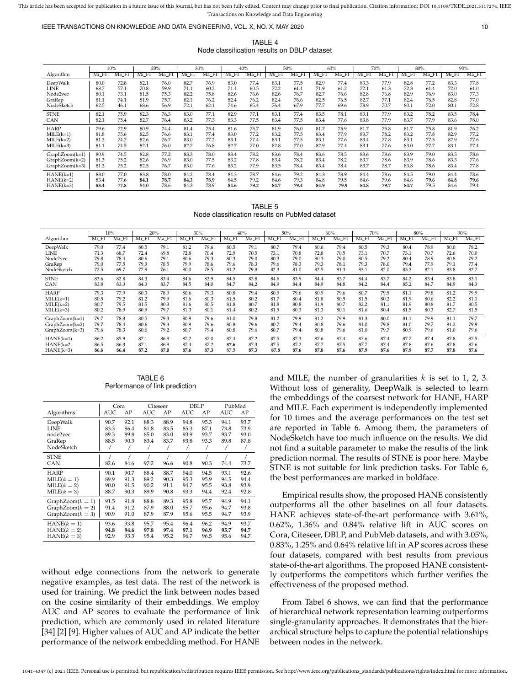#### IEEE TRANSACTIONS ON KNOWLEDGE AND DATA ENGINEERING, VOL. X, NO. X, MAY 2020 10 10

TABLE 4 Node classification results on DBLP dataset

|                  |       | 10%   |       | 20%   |         | 30%   |       | 40%   |       | 50%   |       | 60%   |         | 70%   |         | 80%   |       | 90%   |
|------------------|-------|-------|-------|-------|---------|-------|-------|-------|-------|-------|-------|-------|---------|-------|---------|-------|-------|-------|
| Algorithm        | Mi F1 | Ma F1 | Mi F1 | Ma_F1 | $Mi_F1$ | Ma F1 | Mi F1 | Ma F1 | Mi_F1 | Ma F1 | Mi_F1 | Ma F1 | $Mi_F1$ | Ma_F1 | $Mi_F1$ | Ma F1 | Mi_F1 | Ma_F1 |
| DeepWalk         | 80.0  | 72.8  | 82.1  | 76.0  | 82.7    | 76.9  | 83.0  | 77.4  | 83.1  | 77.5  | 82.9  | 77.4  | 83.3    | 77.9  | 82.8    | 77.2  | 83.3  | 77.8  |
| LINE             | 68.7  | 57.1  | 70.8  | 59.9  | 71.1    | 60.2  | 71.4  | 60.5  | 72.2  | 61.4  | 71.9  | 61.2  | 72.1    | 61.3  | 72.3    | 61.4  | 72.0  | 61.0  |
| Node2vec         | 80.1  | 73.1  | 81.5  | 75.3  | 82.2    | 75.8  | 82.6  | 76.6  | 82.6  | 76.7  | 82.7  | 76.6  | 82.8    | 76.8  | 82.9    | 76.9  | 83.0  | 77.3  |
| GraRep           | 81.1  | 74.1  | 81.9  | 75.7  | 82.1    | 76.2  | 82.4  | 76.2  | 82.4  | 76.6  | 82.5  | 76.5  | 82.7    | 77.1  | 82.4    | 76.5  | 82.8  | 77.0  |
| NodeSketch       | 62.5  | 46.1  | 68.6  | 56.9  | 72.1    | 62.1  | 74.6  | 65.4  | 76.4  | 67.9  | 77.7  | 69.6  | 78.9    | 70.7  | 80.1    | 72.0  | 80.1  | 72.8  |
| <b>STNE</b>      | 82.1  | 75.9  | 82.3  | 76.3  | 83.0    | 77.1  | 82.9  | 77.1  | 83.1  | 77.4  | 83.5  | 78.1  | 83.1    | 77.9  | 83.2    | 78.2  | 83.5  | 78.4  |
| CAN              | 82.1  | 75.4  | 82.7  | 76.4  | 83.2    | 77.3  | 83.3  | 77.5  | 83.4  | 77.5  | 83.4  | 77.6  | 83.8    | 77.9  | 83.7    | 77.9  | 83.6  | 78.0  |
| <b>HARP</b>      | 79.6  | 72.9  | 80.9  | 74.4  | 81.4    | 75.4  | 81.6  | 75.7  | 81.9  | 76.0  | 81.7  | 75.9  | 81.7    | 75.8  | 81.7    | 75.8  | 81.9  | 76.2  |
| $MILE(k=1)$      | 81.8  | 75.6  | 82.5  | 76.6  | 83.1    | 77.4  | 83.0  | 77.2  | 83.2  | 77.5  | 83.4  | 77.9  | 83.7    | 78.2  | 83.2    | 77.8  | 82.9  | 77.2  |
| $MILE(k=2)$      | 81.3  | 74.7  | 82.6  | 76.7  | 83.0    | 77.2  | 83.1  | 77.4  | 83.1  | 77.5  | 83.1  | 77.6  | 83.4    | 77.8  | 83.1    | 77.5  | 82.9  | 77.6  |
| $MILE(k=3)$      | 81.1  | 74.5  | 82.1  | 76.0  | 82.7    | 76.8  | 82.7  | 77.0  | 82.8  | 77.0  | 82.9  | 77.4  | 83.1    | 77.6  | 83.0    | 77.7  | 83.1  | 77.4  |
| $GraphZoom(k=1)$ | 80.9  | 74.5  | 82.8  | 77.2  | 83.3    | 78.0  | 83.4  | 78.2  | 83.6  | 78.4  | 83.6  | 78.5  | 83.6    | 78.6  | 83.9    | 79.0  | 83.5  | 78.6  |
| GraphZoom(k=2)   | 81.3  | 75.2  | 82.6  | 76.9  | 83.0    | 77.5  | 83.2  | 77.8  | 83.4  | 78.2  | 83.4  | 78.2  | 83.7    | 78.6  | 83.9    | 78.6  | 83.3  | 77.6  |
| $GraphZoom(k=3)$ | 81.3  | 75.2  | 82.5  | 76.7  | 83.0    | 77.6  | 83.2  | 77.9  | 83.5  | 78.4  | 83.4  | 78.4  | 83.7    | 78.7  | 83.8    | 78.6  | 83.4  | 77.8  |
| $HANE(k=1)$      | 83.0  | 77.0  | 83.8  | 78.0  | 84.2    | 78.4  | 84.3  | 78.7  | 84.6  | 79.2  | 84.3  | 78.9  | 84.4    | 78.6  | 84.5    | 79.0  | 84.4  | 78.6  |
| $HANE(k=2)$      | 83.4  | 77.6  | 84.1  | 78.7  | 84.3    | 78.9  | 84.5  | 79.2  | 84.6  | 79.3  | 84.8  | 79.5  | 84.6    | 79.6  | 84.6    | 79.6  | 84.8  | 79.6  |
| $HANE(k=3)$      | 83.4  | 77.8  | 84.0  | 78.6  | 84.3    | 78.9  | 84.6  | 79.2  | 84.7  | 79.4  | 84.9  | 79.9  | 84.8    | 79.7  | 84.7    | 79.5  | 84.6  | 79.4  |

TABLE 5 Node classification results on PubMed dataset

|                  |       | 10%  | 20%   |       |       | 30%     |       | 40%                 |       | 50%              |       | 60%  |       | 70%   |       | 80%   |       | 90%   |
|------------------|-------|------|-------|-------|-------|---------|-------|---------------------|-------|------------------|-------|------|-------|-------|-------|-------|-------|-------|
| Algorithm        | Mi F1 | Ma   | Mi F1 | Ma_F1 | Mi_F1 | $Ma_F1$ | Mi_F1 | $Ma$ F <sub>1</sub> | Mi F1 | MaF <sup>1</sup> | Mi_F1 | Ma_F | Mi_F1 | Ma_F1 | Mi_F1 | Ma F1 | Mi F1 | Ma F1 |
| DeepWalk         | 79.0  | 77.4 | 80.5  | 79.1  | 81.2  | 79.6    | 80.5  | 79.1                | 80.7  | 79.4             | 80.6  | 79.4 | 80.5  | 79.3  | 80.4  | 78.9  | 80.0  | 78.2  |
| LINE             | 71.3  | 68.7 | 72.4  | 69.8  | 72.8  | 70.4    | 72.9  | 70.5                | 73.1  | 70.8             | 72.8  | 70.5 | 73.1  | 70.7  | 73.1  | 70.7  | 72.6  | 70.0  |
| Node2vec         | 79.8  | 78.4 | 80.6  | 79.1  | 80.6  | 79.3    | 80.3  | 79.0                | 80.3  | 79.0             | 80.3  | 79.0 | 80.5  | 79.2  | 80.4  | 78.9  | 80.8  | 79.2  |
| GraRep           | 79.0  | 77.5 | 79.9  | 78.5  | 79.9  | 78.6    | 79.6  | 78.3                | 79.6  | 78.3             | 79.3  | 78.1 | 79.3  | 78.0  | 79.4  | 77.9  | 79.1  | 77.4  |
| NodeSketch       | 72.5  | 69.7 | 77.9  | 76.1  | 80.0  | 78.5    | 81.2  | 79.8                | 82.3  | 81.0             | 82.5  | 81.3 | 83.1  | 82.0  | 83.3  | 82.1  | 83.8  | 82.7  |
| <b>STNE</b>      | 83.6  | 82.8 | 84.3  | 83.4  | 84.6  | 83.9    | 84.5  | 83.8                | 84.6  | 83.9             | 84.4  | 83.7 | 84.4  | 83.7  | 84.2  | 83.4  | 83.8  | 83.1  |
| <b>CAN</b>       | 83.8  | 83.3 | 84.3  | 83.7  | 84.5  | 84.0    | 84.7  | 84.2                | 84.9  | 84.4             | 84.9  | 84.8 | 84.2  | 84.4  | 85.2  | 84.7  | 84.9  | 84.3  |
| <b>HARP</b>      | 79.3  | 77.9 | 80.3  | 78.9  | 80.6  | 79.3    | 80.8  | 79.4                | 80.9  | 79.6             | 80.9  | 79.6 | 80.7  | 79.5  | 81.1  | 79.8  | 81.2  | 79.9  |
| $MILE(k=1)$      | 80.5  | 79.2 | 81.2  | 79.9  | 81.6  | 80.3    | 81.5  | 80.2                | 81.7  | 80.4             | 81.8  | 80.5 | 81.5  | 80.2  | 81.9  | 80.6  | 82.2  | 81.1  |
| $MILE(k=2)$      | 80.7  | 79.5 | 81.5  | 80.3  | 81.6  | 80.5    | 81.8  | 80.7                | 81.8  | 80.8             | 81.9  | 80.7 | 82.2  | 81.1  | 81.9  | 80.8  | 81.7  | 80.5  |
| $MILE(k=3)$      | 80.2  | 78.9 | 80.9  | 79.7  | 81.3  | 80.1    | 81.4  | 80.2                | 81.5  | 80.3             | 81.3  | 80.1 | 81.6  | 80.4  | 81.5  | 80.3  | 82.7  | 81.5  |
| GraphZoom(k=1)   | 79.7  | 78.3 | 80.5  | 79.3  | 80.9  | 79.6    | 81.0  | 79.8                | 81.2  | 79.9             | 81.2  | 79.9 | 81.3  | 80.0  | 81.1  | 79.9  | 81.1  | 79.7  |
| GraphZoom(k=2)   | 79.7  | 78.4 | 80.6  | 79.3  | 80.9  | 79.6    | 80.8  | 79.6                | 80.7  | 79.4             | 80.8  | 79.6 | 81.0  | 79.8  | 81.0  | 79.7  | 81.2  | 79.9  |
| $GraphZoom(k=3)$ | 79.6  | 78.3 | 80.6  | 79.2  | 80.7  | 79.4    | 80.8  | 79.6                | 80.7  | 79.4             | 80.8  | 79.6 | 81.0  | 79.7  | 80.9  | 79.6  | 81.0  | 79.6  |
| $HANE(k=1)$      | 86.2  | 85.9 | 87.1  | 86.9  | 87.2  | 87.0    | 87.4  | 87.2                | 87.5  | 87.3             | 87.6  | 87.4 | 87.6  | 87.4  | 87.7  | 87.4  | 87.8  | 87.5  |
| $HANE(k=2)$      | 86.5  | 86.3 | 87.1  | 86.9  | 87.4  | 87.2    | 87.6  | 87.3                | 87.5  | 87.2             | 87.7  | 87.5 | 87.7  | 87.4  | 87.8  | 87.6  | 87.8  | 87.6  |
| $HANE(k=3)$      | 86.6  | 86.4 | 87.2  | 87.0  | 87.6  | 87.3    | 87.5  | 87.3                | 87.8  | 87.6             | 87.8  | 87.6 | 87.9  | 87.6  | 87.9  | 87.7  | 87.8  | 87.6  |

TABLE 6 Performance of link prediction

|                    | Cora       |      | Citeseer   |      | DBLP |      | PubMed     |      |
|--------------------|------------|------|------------|------|------|------|------------|------|
| Algorithms         | <b>AUC</b> | AP   | <b>AUC</b> | AP   | AUC  | AP   | <b>AUC</b> | AP   |
| DeepWalk           | 90.7       | 92.1 | 88.3       | 88.9 | 94.8 | 95.3 | 94.1       | 93.7 |
| LINE               | 83.3       | 86.4 | 81.8       | 83.5 | 85.3 | 87.1 | 73.8       | 73.9 |
| node2vec           | 89.3       | 89.8 | 85.0       | 83.0 | 93.9 | 93.7 | 93.7       | 93.0 |
| GraRep             | 88.5       | 90.3 | 83.4       | 83.7 | 93.8 | 93.3 | 89.8       | 87.8 |
| NodeSketch         |            |      |            |      |      |      |            |      |
| <b>STNE</b>        |            |      |            |      |      |      |            | 7    |
| CAN                | 82.6       | 84.6 | 97.2       | 96.6 | 90.8 | 90.3 | 74.4       | 73.7 |
| <b>HARP</b>        | 90.1       | 90.7 | 88.4       | 88.7 | 94.0 | 94.5 | 93.1       | 92.6 |
| $MILE(k = 1)$      | 89.9       | 91.3 | 89.2       | 90.3 | 95.3 | 95.9 | 94.5       | 94.4 |
| $MILE(k = 2)$      | 90.0       | 91.5 | 90.2       | 91.1 | 94.7 | 95.5 | 93.8       | 93.9 |
| $MILE(k = 3)$      | 88.7       | 90.3 | 89.9       | 90.8 | 93.3 | 94.4 | 92.4       | 92.8 |
| $GraphZoom(k = 1)$ | 91.5       | 91.8 | 88.8       | 89.3 | 95.8 | 95.7 | 94.9       | 94.1 |
| $GraphZoom(k = 2)$ | 91.4       | 91.2 | 87.9       | 88.0 | 95.7 | 95.6 | 94.7       | 93.8 |
| $GraphZoom(k = 3)$ | 90.9       | 91.0 | 87.9       | 87.9 | 95.6 | 95.5 | 94.7       | 93.9 |
| $HANE(k = 1)$      | 93.6       | 93.8 | 95.7       | 95.4 | 96.4 | 96.2 | 94.9       | 93.7 |
| $HANE(k = 2)$      | 94.8       | 94.6 | 97.8       | 97.4 | 97.1 | 96.9 | 95.7       | 94.7 |
| $HANE(k = 3)$      | 92.9       | 93.3 | 95.4       | 95.2 | 96.7 | 96.5 | 95.6       | 94.7 |

without edge connections from the network to generate negative examples, as test data. The rest of the network is used for training. We predict the link between nodes based on the cosine similarity of their embeddings. We employ AUC and AP scores to evaluate the performance of link prediction, which are commonly used in related literature [34] [2] [9]. Higher values of AUC and AP indicate the better performance of the network embedding method. For HANE and MILE, the number of granularities  $k$  is set to 1, 2, 3. Without loss of generality, DeepWalk is selected to learn the embeddings of the coarsest network for HANE, HARP and MILE. Each experiment is independently implemented for 10 times and the average performances on the test set are reported in Table 6. Among them, the parameters of NodeSketch have too much influence on the results. We did not find a suitable parameter to make the results of the link prediction normal. The results of STNE is poor here. Maybe STNE is not suitable for link prediction tasks. For Table 6, the best performances are marked in boldface.

Empirical results show, the proposed HANE consistently outperforms all the other baselines on all four datasets. HANE achieves state-of-the-art performance with 3.61%, 0.62%, 1.36% and 0.84% relative lift in AUC scores on Cora, Citeseer, DBLP, and PubMeb datasets, and with 3.05%, 0.83%, 1.25% and 0.64% relative lift in AP scores across these four datasets, compared with best results from previous state-of-the-art algorithms. The proposed HANE consistently outperforms the competitors which further verifies the effectiveness of the proposed method.

From Tabel 6 shows, we can find that the performance of hierarchical network representation learning outperforms single-granularity approaches. It demonstrates that the hierarchical structure helps to capture the potential relationships between nodes in the network.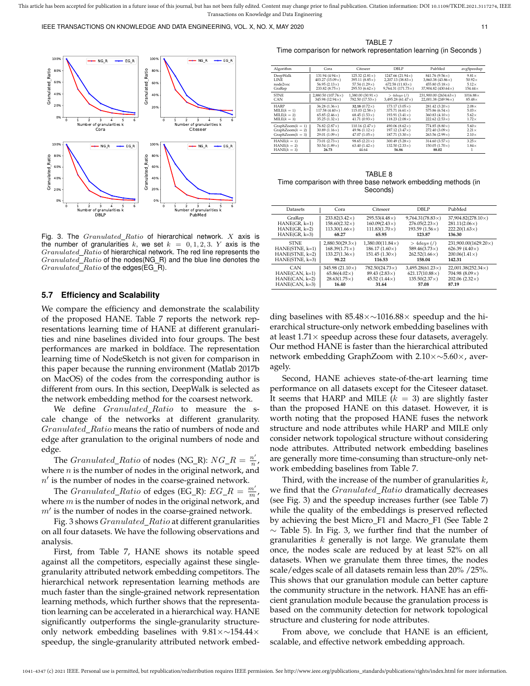

Fig. 3. The  $Granulated_Ratio$  of hierarchical network.  $X$  axis is the number of granularities k, we set  $k = 0, 1, 2, 3$ . Y axis is the  $Grandated\_Ratio$  of hierarchical network. The red line represents the  $Grandated\_Ratio$  of the nodes(NG\_R) and the blue line denotes the Granulated\_Ratio of the edges(EG\_R).

#### **5.7 Efficiency and Scalability**

We compare the efficiency and demonstrate the scalability of the proposed HANE. Table 7 reports the network representations learning time of HANE at different granularities and nine baselines divided into four groups. The best performances are marked in boldface. The representation learning time of NodeSketch is not given for comparison in this paper because the running environment (Matlab 2017b on MacOS) of the codes from the corresponding author is different from ours. In this section, DeepWalk is selected as the network embedding method for the coarsest network.

We define *Granulated\_Ratio* to measure the scale change of the networks at different granularity. Granulated\_Ratio means the ratio of numbers of node and edge after granulation to the original numbers of node and edge.

The *Granulated\_Ratio* of nodes (NG\_R):  $NG_R = \frac{n'}{n}$ n , where  $n$  is the number of nodes in the original network, and  $n'$  is the number of nodes in the coarse-grained network.

The *Granulated\_Ratio* of edges (EG\_R):  $EG_R = \frac{m'}{m}$ , where  $m$  is the number of nodes in the original network, and  $m'$  is the number of nodes in the coarse-grained network.

Fig. 3 shows *Granulated\_Ratio* at different granularities on all four datasets. We have the following observations and analysis.

First, from Table 7, HANE shows its notable speed against all the competitors, especially against these singlegranularity attributed network embedding competitors. The hierarchical network representation learning methods are much faster than the single-grained network representation learning methods, which further shows that the representation learning can be accelerated in a hierarchical way. HANE significantly outperforms the single-granularity structureonly network embedding baselines with 9.81×∼154.44× speedup, the single-granularity attributed network embed-

TABLE 7 Time comparison for network representation learning (in Seconds )

| Algorithm                                       | Cora                                                   | Citeseer                                             | <b>DBLP</b>                                            | PubMed                                                 | avgSpeedup                   |
|-------------------------------------------------|--------------------------------------------------------|------------------------------------------------------|--------------------------------------------------------|--------------------------------------------------------|------------------------------|
| DeepWalk                                        | 131.94 $(4.94 \times)$                                 | 125.32 $(2.81\times)$                                | 1247.66 $(21.94\times)$                                | 841.76 (9.56×)                                         | $9.81\times$                 |
| LINE                                            | 403.27 (15.09 $\times$ )                               | 395.11 $(8.85\times)$                                | $2,207.13$ (38.83 $\times$ )                           | $3,860.38(43.86\times)$                                | $50.92\times$                |
| node2vec                                        | 56.95 $(2.13\times)$                                   | 57.54 $(1.29\times)$                                 | $672.58(11.83\times)$                                  | $455.80(5.18\times)$                                   | $5.12\times$                 |
| GraRep                                          | 233.82 $(8.75\times)$                                  | 295.53 $(6.62\times)$                                | $9,764.31(171.73\times)$                               | 37.904.82 (430.64×)                                    | $154.44\times$               |
| <b>STNE</b>                                     | 2,880.50 $(107.76\times)$                              | 1,380.00 (30.91 $\times$ )                           | $>4 days$ (/)                                          | 231,900.00 (2634.63 $\times$ )                         | $1016.88\times$              |
| CAN                                             | 345.98 (12.94×)                                        | $782.50(17.53\times)$                                | $3,495.28(61.47\times)$                                | 22.001.38 (249.96 $\times$ )                           | $85.48\times$                |
| <b>HARP</b>                                     | $36.28(1.36\times)$                                    | 32.18 $(0.72\times)$                                 | $173.17(3.05\times)$                                   | 281.42 (3.20×)                                         | $2.08\times$                 |
| $MILE(k = 1)$                                   | 117.58 $(4.40\times)$                                  | 115.03 $(2.58\times)$                                | 375.71 $(6.61 \times)$                                 | 575.86 $(6.54\times)$                                  | $5.03\times$                 |
| $MILE(k = 2)$                                   | 65.85 $(2.46 \times)$                                  | $68.45(1.53\times)$                                  | 193.91 $(3.41\times)$                                  | 360.83 $(4.10\times)$                                  | $5.62\times$                 |
| $MILE(k = 3)$                                   | $35.25(1.32\times)$                                    | $41.71(0.93\times)$                                  | $118.23(2.08\times)$                                   | $222.62(2.53\times)$                                   | $1.72\times$                 |
| $GraphZoom(k = 1)$                              | $76.82(2.87\times)$                                    | 110.16 $(2.47\times)$                                | 490.06 $(8.62\times)$                                  | $774.85(8.80\times)$                                   | $5.60\times$                 |
| $GraphZoom(k = 2)$                              | 30.89 $(1.16\times)$                                   | 49.96 $(1.12\times)$                                 | 197.12 $(3.47\times)$                                  | $272.40(3.09\times)$                                   | $2.21\times$                 |
| $GraphZoom(k = 3)$                              | 29.01 $(1.09 \times)$                                  | 47.07 $(1.05 \times)$                                | $187.71(3.30\times)$                                   | $263.56(2.99\times)$                                   | $2.10\times$                 |
| $HANE(k = 1)$<br>$HANE(k = 2)$<br>$HANE(k = 3)$ | 73.01 $(2.73 \times)$<br>50.54 $(1.89\times)$<br>26.73 | $98.65(2.21\times)$<br>63.40 $(1.42\times)$<br>44.64 | 300.49 $(5.28\times)$<br>$132.50(2.33\times)$<br>56.86 | $314.60 (3.57\times)$<br>$150.05(1.70\times)$<br>88.02 | $3.25\times$<br>$1.84\times$ |

TABLE 8 Time comparison with three base network embedding methods (in Seconds)

| Datasets          | Cora                     | Citeseer                | DBLP                    | PubMed                      |
|-------------------|--------------------------|-------------------------|-------------------------|-----------------------------|
| GraRep            | $233.82(3.42\times)$     | $295.53(4.48\times)$    | $9,764.31(78.83\times)$ | 37,904.82(278.10×)          |
| $HANE(GR, k=1)$   | $158.60(2.32\times)$     | $160.09(2.43\times)$    | $276.05(2.23\times)$    | $281.11(2.06\times)$        |
| $HANE(GR, k=2)$   | $113.30(1.66\times)$     | $111.83(1.70\times)$    | 193.59 $(1.56\times)$   | $222.20(1.63\times)$        |
| $HANE(GR, k=3)$   | 68.27                    | 65.95                   | 123.87                  | 136.30                      |
| <b>STNE</b>       | $2,880.50(29.3\times)$   | $1,380.00(11.84\times)$ | $>4$ days (/)           | $231,900.00(1629.20\times)$ |
| $HANE(STNE, k=1)$ | $168.39(1.71\times)$     | 186.17 $(1.60\times)$   | $589.46(3.73\times)$    | 626.39 $(4.40\times)$       |
| $HANE(STNE, k=2)$ | $133.27(1.36\times)$     | $151.45(1.30\times)$    | $262.52(1.66\times)$    | $200.06(1.41\times)$        |
| $HANE(STNE, k=3)$ | 98.22                    | 116.53                  | 158.04                  | 142.31                      |
| <b>CAN</b>        | 345.98 (21.10 $\times$ ) | $782.50(24.73\times)$   | $3.495.28(61.23\times)$ | $22,001.38(252.34\times)$   |
| $HANE(CAN, k=1)$  | $65.86(4.02\times)$      | $89.43(2.83\times)$     | $621.17(10.88\times)$   | 704.98 $(8.09\times)$       |
| $HANE(CAN, k=2)$  | $28.63(1.75\times)$      | 45.52 $(1.44\times)$    | $135.50(2.37\times)$    | 202.06 $(2.32 \times)$      |
| $HANE(CAN, k=3)$  | 16.40                    | 31.64                   | 57.08                   | 87.19                       |

ding baselines with 85.48×∼1016.88× speedup and the hierarchical structure-only network embedding baselines with at least  $1.71\times$  speedup across these four datasets, averagely. Our method HANE is faster than the hierarchical attributed network embedding GraphZoom with 2.10×∼5.60×, averagely.

Second, HANE achieves state-of-the-art learning time performance on all datasets except for the Citeseer dataset. It seems that HARP and MILE  $(k = 3)$  are slightly faster than the proposed HANE on this dataset. However, it is worth noting that the proposed HANE fuses the network structure and node attributes while HARP and MILE only consider network topological structure without considering node attributes. Attributed network embedding baselines are generally more time-consuming than structure-only network embedding baselines from Table 7.

Third, with the increase of the number of granularities  $k$ , we find that the *Granulated\_Ratio* dramatically decreases (see Fig. 3) and the speedup increases further (see Table 7) while the quality of the embeddings is preserved reflected by achieving the best Micro F1 and Macro F1 (See Table 2  $\sim$  Table 5). In Fig. 3, we further find that the number of granularities  $k$  generally is not large. We granulate them once, the nodes scale are reduced by at least 52% on all datasets. When we granulate them three times, the nodes scale/edges scale of all datasets remain less than 20% /25%. This shows that our granulation module can better capture the community structure in the network. HANE has an efficient granulation module because the granulation process is based on the community detection for network topological structure and clustering for node attributes.

From above, we conclude that HANE is an efficient, scalable, and effective network embedding approach.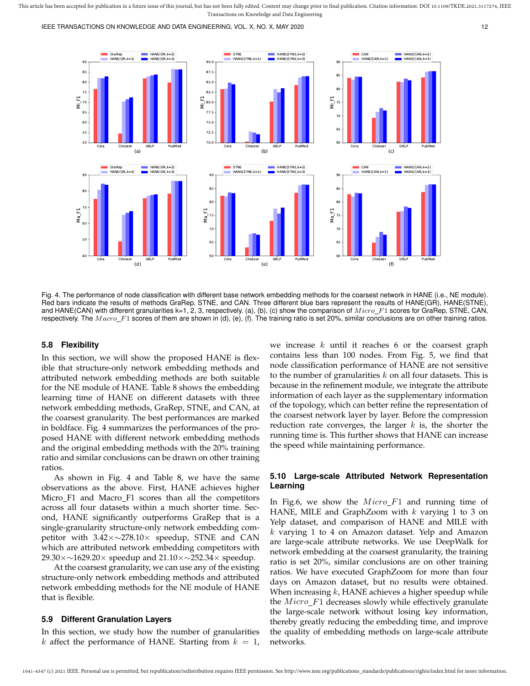IEEE TRANSACTIONS ON KNOWLEDGE AND DATA ENGINEERING, VOL. X, NO. X, MAY 2020 12



Fig. 4. The performance of node classification with different base network embedding methods for the coarsest network in HANE (i.e., NE module). Red bars indicate the results of methods GraRep, STNE, and CAN. Three different blue bars represent the results of HANE(GR), HANE(STNE), and HANE(CAN) with different granularities k=1, 2, 3, respectively. (a), (b), (c) show the comparison of  $Micro\_F1$  scores for GraRep, STNE, CAN, respectively. The  $Macc$  F1 scores of them are shown in (d), (e), (f). The training ratio is set 20%, similar conclusions are on other training ratios.

#### **5.8 Flexibility**

In this section, we will show the proposed HANE is flexible that structure-only network embedding methods and attributed network embedding methods are both suitable for the NE module of HANE. Table 8 shows the embedding learning time of HANE on different datasets with three network embedding methods, GraRep, STNE, and CAN, at the coarsest granularity. The best performances are marked in boldface. Fig. 4 summarizes the performances of the proposed HANE with different network embedding methods and the original embedding methods with the 20% training ratio and similar conclusions can be drawn on other training ratios.

As shown in Fig. 4 and Table 8, we have the same observations as the above. First, HANE achieves higher Micro F1 and Macro F1 scores than all the competitors across all four datasets within a much shorter time. Second, HANE significantly outperforms GraRep that is a single-granularity structure-only network embedding competitor with 3.42×∼278.10× speedup, STNE and CAN which are attributed network embedding competitors with 29.30×∼1629.20× speedup and 21.10×∼252.34× speedup.

At the coarsest granularity, we can use any of the existing structure-only network embedding methods and attributed network embedding methods for the NE module of HANE that is flexible.

#### **5.9 Different Granulation Layers**

In this section, we study how the number of granularities k affect the performance of HANE. Starting from  $k = 1$ ,

we increase k until it reaches 6 or the coarsest graph contains less than 100 nodes. From Fig. 5, we find that node classification performance of HANE are not sensitive to the number of granularities  $k$  on all four datasets. This is because in the refinement module, we integrate the attribute information of each layer as the supplementary information of the topology, which can better refine the representation of the coarsest network layer by layer. Before the compression reduction rate converges, the larger  $k$  is, the shorter the running time is. This further shows that HANE can increase the speed while maintaining performance.

## **5.10 Large-scale Attributed Network Representation Learning**

In Fig.6, we show the  $Micro\_F1$  and running time of HANE, MILE and GraphZoom with  $k$  varying 1 to 3 on Yelp dataset, and comparison of HANE and MILE with  $k$  varying 1 to 4 on Amazon dataset. Yelp and Amazon are large-scale attribute networks. We use DeepWalk for network embedding at the coarsest granularity, the training ratio is set 20%, similar conclusions are on other training ratios. We have executed GraphZoom for more than four days on Amazon dataset, but no results were obtained. When increasing  $k$ , HANE achieves a higher speedup while the  $Micro\_F1$  decreases slowly while effectively granulate the large-scale network without losing key information, thereby greatly reducing the embedding time, and improve the quality of embedding methods on large-scale attribute networks.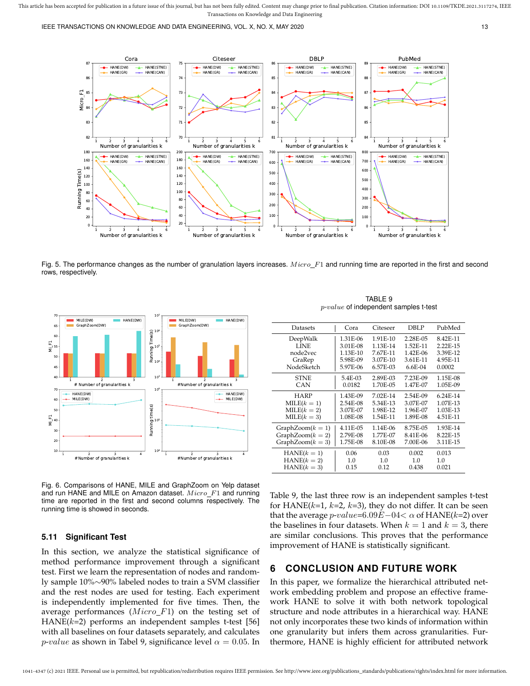IEEE TRANSACTIONS ON KNOWLEDGE AND DATA ENGINEERING, VOL. X, NO. X, MAY 2020 13 13



Fig. 5. The performance changes as the number of granulation layers increases.  $Micro_F1$  and running time are reported in the first and second rows, respectively.



Fig. 6. Comparisons of HANE, MILE and GraphZoom on Yelp dataset and run HANE and MILE on Amazon dataset.  $Micro\_F1$  and running time are reported in the first and second columns respectively. The running time is showed in seconds.

In this section, we analyze the statistical significance of method performance improvement through a significant test. First we learn the representation of nodes and randomly sample 10%∼90% labeled nodes to train a SVM classifier and the rest nodes are used for testing. Each experiment is independently implemented for five times. Then, the average performances  $(Micro_F1)$  on the testing set of HANE( $k=2$ ) performs an independent samples t-test [56] with all baselines on four datasets separately, and calculates *p-value* as shown in Tabel 9, significance level  $\alpha = 0.05$ . In

**5.11 Significant Test**

#### GraphZoom $(k = 1)$  4.11E-05 1.14E-06 8.75E-05 1.93E-14<br>GraphZoom $(k = 2)$  2.79E-08 1.77E-07 8.41E-06 8.22E-15 GraphZoom $(k = 2)$  2.79E-08 1.77E-07 8.41E-06 8.22E-15<br>GraphZoom $(k = 3)$  1.75E-08 8.10E-08 7.00E-06 3.11E-15  $GraphZoom(k=3)$ HANE( $k = 1$ ) | 0.06 0.03 0.002 0.013

 $MILE(k = 2)$  3.07E-07 1.98E-12 1.96E-07 1.03E-13<br> $MILE(k = 3)$  1.08E-08 1.54E-11 1.89E-08 4.51E-11

 $HANE(k = 2)$  1.0 1.0 1.0 1.0<br>  $HANE(k = 3)$  0.15 0.12 0.438 0.021

 $MILE(k = 1)$  2.54E-08<br> $MILE(k = 2)$  3.07E-07

 $MILE(k = 3)$ 

 $HANE(k = 3)$ 

Table 9, the last three row is an independent samples t-test for  $HANE(k=1, k=2, k=3)$ , they do not differ. It can be seen that the average  $p\text{-}value\text{=}6.09E\text{--}04\textcolor{black}{<}\alpha$  of  $\text{HANE}(k\text{=}2)$  over the baselines in four datasets. When  $k = 1$  and  $k = 3$ , there are similar conclusions. This proves that the performance

In this paper, we formalize the hierarchical attributed network embedding problem and propose an effective framework HANE to solve it with both network topological structure and node attributes in a hierarchical way. HANE not only incorporates these two kinds of information within one granularity but infers them across granularities. Furthermore, HANE is highly efficient for attributed network

TABLE 9 p-value of independent samples t-test

Datasets | Cora Citeseer DBLP PubMed DeepWalk 1.31E-06 1.91E-10 2.28E-05 8.42E-11<br>1.1NE 3.01E-08 1.13E-14 1.52E-11 2.22E-15 LINE 3.01E-08 1.13E-14 1.52E-11 2.22E-15 node2vec 1.13E-10 7.67E-11 1.42E-06 3.39E-12<br>GraRep 5.98E-09 3.07E-10 3.61E-11 4.95E-11 GraRep 5.98E-09 3.07E-10 3.61E-11 4.95E-11 NodeSketch 5.97E-06 6.57E-03 6.6E-04 0.0002 STNE  $= 5.4E-03$  2.89E-03 7.23E-09 1.15E-08<br>CAN 0.0182 1.70E-05 1.47E-07 1.05E-09 CAN 0.0182 1.70E-05 1.47E-07 1.05E-09 HARP 1.43E-09 7.02E-14 2.54E-09 6.24E-14<br>LE(k = 1) 2.54E-08 5.34E-13 3.07E-07 1.07E-13

| <b>6 CONCLUSION AND FUTURE WORK</b>                                                                                                                                                                                                                                                                                       |
|---------------------------------------------------------------------------------------------------------------------------------------------------------------------------------------------------------------------------------------------------------------------------------------------------------------------------|
| for HANE( $k=1$ , $k=2$ , $k=3$ ), they do not differ. It can be see<br>that the average $p\n-value=6.09E-04<\alpha$ of HANE(k=2) ove<br>the baselines in four datasets. When $k = 1$ and $k = 3$ , then<br>are similar conclusions. This proves that the performanc<br>improvement of HANE is statistically significant. |
|                                                                                                                                                                                                                                                                                                                           |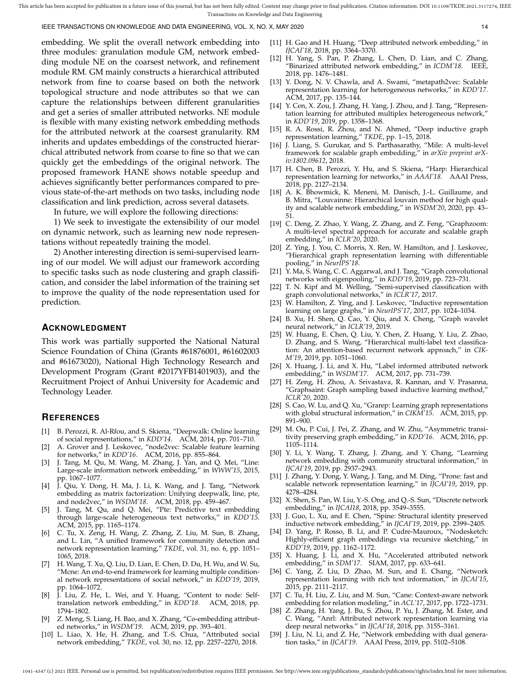IEEE TRANSACTIONS ON KNOWLEDGE AND DATA ENGINEERING, VOL. X, NO. X, MAY 2020 14

embedding. We split the overall network embedding into three modules: granulation module GM, network embedding module NE on the coarsest network, and refinement module RM. GM mainly constructs a hierarchical attributed network from fine to coarse based on both the network topological structure and node attributes so that we can capture the relationships between different granularities and get a series of smaller attributed networks. NE module is flexible with many existing network embedding methods for the attributed network at the coarsest granularity. RM inherits and updates embeddings of the constructed hierarchical attributed network from coarse to fine so that we can quickly get the embeddings of the original network. The proposed framework HANE shows notable speedup and achieves significantly better performances compared to previous state-of-the-art methods on two tasks, including node classification and link prediction, across several datasets.

In future, we will explore the following directions:

1) We seek to investigate the extensibility of our model on dynamic network, such as learning new node representations without repeatedly training the model.

2) Another interesting direction is semi-supervised learning of our model. We will adjust our framework according to specific tasks such as node clustering and graph classification, and consider the label information of the training set to improve the quality of the node representation used for prediction.

#### **ACKNOWLEDGMENT**

This work was partially supported the National Natural Science Foundation of China (Grants #61876001, #61602003 and #61673020), National High Technology Research and Development Program (Grant #2017YFB1401903), and the Recruitment Project of Anhui University for Academic and Technology Leader.

#### **REFERENCES**

- [1] B. Perozzi, R. Al-Rfou, and S. Skiena, "Deepwalk: Online learning of social representations," in *KDD'14*. ACM, 2014, pp. 701–710.
- A. Grover and J. Leskovec, "node2vec: Scalable feature learning for networks," in *KDD'16*. ACM, 2016, pp. 855–864.
- [3] J. Tang, M. Qu, M. Wang, M. Zhang, J. Yan, and Q. Mei, "Line: Large-scale information network embedding," in *WWW'15*, 2015, pp. 1067–1077.
- [4] J. Qiu, Y. Dong, H. Ma, J. Li, K. Wang, and J. Tang, "Network embedding as matrix factorization: Unifying deepwalk, line, pte, and node2vec," in *WSDM'18*. ACM, 2018, pp. 459–467.
- J. Tang, M. Qu, and Q. Mei, "Pte: Predictive text embedding through large-scale heterogeneous text networks," in *KDD'15*. ACM, 2015, pp. 1165–1174.
- [6] C. Tu, X. Zeng, H. Wang, Z. Zhang, Z. Liu, M. Sun, B. Zhang, and L. Lin, "A unified framework for community detection and network representation learning," *TKDE*, vol. 31, no. 6, pp. 1051– 1065, 2018.
- [7] H. Wang, T. Xu, Q. Liu, D. Lian, E. Chen, D. Du, H. Wu, and W. Su, "Mcne: An end-to-end framework for learning multiple conditional network representations of social network," in *KDD'19*, 2019, pp. 1064–1072.
- [8] J. Liu, Z. He, L. Wei, and Y. Huang, "Content to node: Selftranslation network embedding," in *KDD'18*. ACM, 2018, pp. 1794–1802.
- Z. Meng, S. Liang, H. Bao, and X. Zhang, "Co-embedding attributed networks," in *WSDM'19*. ACM, 2019, pp. 393–401.
- [10] L. Liao, X. He, H. Zhang, and T.-S. Chua, "Attributed social network embedding," *TKDE*, vol. 30, no. 12, pp. 2257–2270, 2018.
- [11] H. Gao and H. Huang, "Deep attributed network embedding," in *IJCAI'18*, 2018, pp. 3364–3370.
- [12] H. Yang, S. Pan, P. Zhang, L. Chen, D. Lian, and C. Zhang, "Binarized attributed network embedding," in *ICDM'18*. IEEE, 2018, pp. 1476–1481.
- [13] Y. Dong, N. V. Chawla, and A. Swami, "metapath2vec: Scalable representation learning for heterogeneous networks," in *KDD'17*. ACM, 2017, pp. 135–144.
- [14] Y. Cen, X. Zou, J. Zhang, H. Yang, J. Zhou, and J. Tang, "Representation learning for attributed multiplex heterogeneous network," in *KDD'19*, 2019, pp. 1358–1368.
- [15] R. A. Rossi, R. Zhou, and N. Ahmed, "Deep inductive graph representation learning," *TKDE*, pp. 1–15, 2018.
- [16] J. Liang, S. Gurukar, and S. Parthasarathy, "Mile: A multi-level framework for scalable graph embedding," in *arXiv preprint arXiv:1802.09612*, 2018.
- [17] H. Chen, B. Perozzi, Y. Hu, and S. Skiena, "Harp: Hierarchical representation learning for networks," in *AAAI'18*. AAAI Press, 2018, pp. 2127–2134.
- [18] A. K. Bhowmick, K. Meneni, M. Danisch, J.-L. Guillaume, and B. Mitra, "Louvainne: Hierarchical louvain method for high quality and scalable network embedding," in *WSDM'20*, 2020, pp. 43– 51.
- [19] C. Deng, Z. Zhao, Y. Wang, Z. Zhang, and Z. Feng, "Graphzoom: A multi-level spectral approach for accurate and scalable graph embedding," in *ICLR'20*, 2020.
- [20] Z. Ying, J. You, C. Morris, X. Ren, W. Hamilton, and J. Leskovec, "Hierarchical graph representation learning with differentiable pooling," in *NeurIPS'18*.
- [21] Y. Ma, S. Wang, C. C. Aggarwal, and J. Tang, "Graph convolutional networks with eigenpooling," in *KDD'19*, 2019, pp. 723–731.
- [22] T. N. Kipf and M. Welling, "Semi-supervised classification with graph convolutional networks," in *ICLR'17*, 2017.
- [23] W. Hamilton, Z. Ying, and J. Leskovec, "Inductive representation learning on large graphs," in *NeurIPS'17*, 2017, pp. 1024–1034.
- [24] B. Xu, H. Shen, Q. Cao, Y. Qiu, and X. Cheng, "Graph wavelet neural network," in *ICLR'19*, 2019.
- [25] W. Huang, E. Chen, Q. Liu, Y. Chen, Z. Huang, Y. Liu, Z. Zhao, D. Zhang, and S. Wang, "Hierarchical multi-label text classification: An attention-based recurrent network approach," in *CIK-M'19*, 2019, pp. 1051–1060.
- [26] X. Huang, J. Li, and X. Hu, "Label informed attributed network embedding," in *WSDM'17*. ACM, 2017, pp. 731–739.
- [27] H. Zeng, H. Zhou, A. Srivastava, R. Kannan, and V. Prasanna, "Graphsaint: Graph sampling based inductive learning method," *ICLR'20*, 2020.
- [28] S. Cao, W. Lu, and Q. Xu, "Grarep: Learning graph representations with global structural information," in *CIKM'15*. ACM, 2015, pp. 891–900.
- [29] M. Ou, P. Cui, J. Pei, Z. Zhang, and W. Zhu, "Asymmetric transitivity preserving graph embedding," in *KDD'16*. ACM, 2016, pp. 1105–1114.
- [30] Y. Li, Y. Wang, T. Zhang, J. Zhang, and Y. Chang, "Learning network embedding with community structural information," in *IJCAI'19*, 2019, pp. 2937–2943.
- [31] J. Zhang, Y. Dong, Y. Wang, J. Tang, and M. Ding, "Prone: fast and scalable network representation learning," in *IJCAI'19*, 2019, pp. 4278–4284.
- [32] X. Shen, S. Pan, W. Liu, Y.-S. Ong, and Q.-S. Sun, "Discrete network embedding," in *IJCAI18*, 2018, pp. 3549–3555.
- [33] J. Guo, L. Xu, and E. Chen, "Spine: Structural identity preserved inductive network embedding," in *IJCAI'19*, 2019, pp. 2399–2405.
- [34] D. Yang, P. Rosso, B. Li, and P. Cudre-Mauroux, "Nodesketch: Highly-efficient graph embeddings via recursive sketching," in *KDD'19*, 2019, pp. 1162–1172.
- [35] X. Huang, J. Li, and X. Hu, "Accelerated attributed network embedding," in *SDM'17*. SIAM, 2017, pp. 633–641.
- [36] C. Yang, Z. Liu, D. Zhao, M. Sun, and E. Chang, "Network representation learning with rich text information," in *IJCAI'15*, 2015, pp. 2111–2117.
- [37] C. Tu, H. Liu, Z. Liu, and M. Sun, "Cane: Context-aware network embedding for relation modeling," in *ACL'17*, 2017, pp. 1722–1731.
- [38] Z. Zhang, H. Yang, J. Bu, S. Zhou, P. Yu, J. Zhang, M. Ester, and C. Wang, "Anrl: Attributed network representation learning via deep neural networks." in *IJCAI'18*, 2018, pp. 3155–3161.
- [39] J. Liu, N. Li, and Z. He, "Network embedding with dual generation tasks," in *IJCAI'19*. AAAI Press, 2019, pp. 5102–5108.